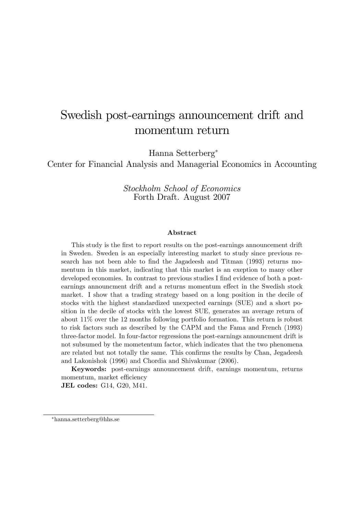# Swedish post-earnings announcement drift and momentum return

Hanna Setterberg

Center for Financial Analysis and Managerial Economics in Accounting

Stockholm School of Economics Forth Draft. August 2007

#### Abstract

This study is the first to report results on the post-earnings announcement drift in Sweden. Sweden is an especially interesting market to study since previous research has not been able to find the Jagadeesh and Titman (1993) returns momentum in this market, indicating that this market is an exeption to many other developed economies. In contrast to previous studies I find evidence of both a postearnings announcment drift and a returns momentum effect in the Swedish stock market. I show that a trading strategy based on a long position in the decile of stocks with the highest standardized unexpected earnings (SUE) and a short position in the decile of stocks with the lowest SUE, generates an average return of about 11% over the 12 months following portfolio formation. This return is robust to risk factors such as described by the CAPM and the Fama and French (1993) three-factor model. In four-factor regressions the post-earnings announcment drift is not subsumed by the mometentum factor, which indicates that the two phenomena are related but not totally the same. This confirms the results by Chan, Jegadeesh and Lakonishok (1996) and Chordia and Shivakumar (2006).

Keywords: post-earnings announcement drift, earnings momentum, returns momentum, market efficiency

JEL codes: G14, G20, M41.

hanna.setterberg@hhs.se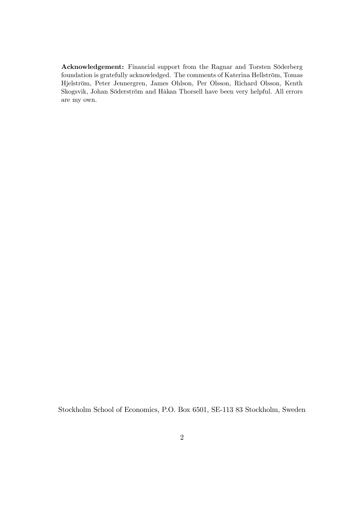Acknowledgement: Financial support from the Ragnar and Torsten Söderberg foundation is gratefully acknowledged. The comments of Katerina Hellström, Tomas Hjelström, Peter Jennergren, James Ohlson, Per Olsson, Richard Olsson, Kenth Skogsvik, Johan Söderström and Håkan Thorsell have been very helpful. All errors are my own.

Stockholm School of Economics, P.O. Box 6501, SE-113 83 Stockholm, Sweden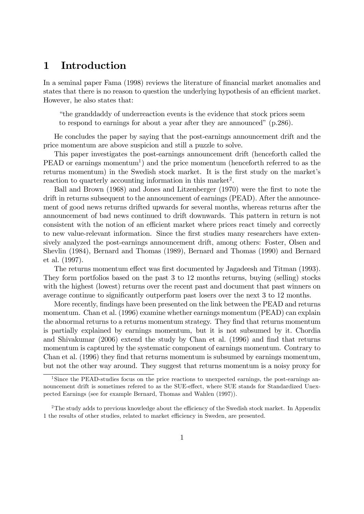## 1 Introduction

In a seminal paper Fama (1998) reviews the literature of financial market anomalies and states that there is no reason to question the underlying hypothesis of an efficient market. However, he also states that:

ìthe granddaddy of underreaction events is the evidence that stock prices seem to respond to earnings for about a year after they are announced"  $(p.286)$ .

He concludes the paper by saying that the post-earnings announcement drift and the price momentum are above suspicion and still a puzzle to solve.

This paper investigates the post-earnings announcement drift (henceforth called the PEAD or earnings momentum<sup>1</sup>) and the price momentum (henceforth referred to as the returns momentum) in the Swedish stock market. It is the first study on the market's reaction to quarterly accounting information in this market<sup>2</sup>.

Ball and Brown (1968) and Jones and Litzenberger (1970) were the first to note the drift in returns subsequent to the announcement of earnings (PEAD). After the announcement of good news returns drifted upwards for several months, whereas returns after the announcement of bad news continued to drift downwards. This pattern in return is not consistent with the notion of an efficient market where prices react timely and correctly to new value-relevant information. Since the first studies many researchers have extensively analyzed the post-earnings announcement drift, among others: Foster, Olsen and Shevlin (1984), Bernard and Thomas (1989), Bernard and Thomas (1990) and Bernard et al. (1997).

The returns momentum effect was first documented by Jagadeesh and Titman (1993). They form portfolios based on the past 3 to 12 months returns, buying (selling) stocks with the highest (lowest) returns over the recent past and document that past winners on average continue to significantly outperform past losers over the next 3 to 12 months.

More recently, findings have been presented on the link between the PEAD and returns momentum. Chan et al. (1996) examine whether earnings momentum (PEAD) can explain the abnormal returns to a returns momentum strategy. They find that returns momentum is partially explained by earnings momentum, but it is not subsumed by it. Chordia and Shivakumar  $(2006)$  extend the study by Chan et al.  $(1996)$  and find that returns momentum is captured by the systematic component of earnings momentum. Contrary to Chan et al. (1996) they find that returns momentum is subsumed by earnings momentum, but not the other way around. They suggest that returns momentum is a noisy proxy for

<sup>&</sup>lt;sup>1</sup>Since the PEAD-studies focus on the price reactions to unexpected earnings, the post-earnings announcement drift is sometimes refered to as the SUE-effect, where SUE stands for Standardized Unexpected Earnings (see for example Bernard, Thomas and Wahlen (1997)).

<sup>&</sup>lt;sup>2</sup>The study adds to previous knowledge about the efficiency of the Swedish stock market. In Appendix 1 the results of other studies, related to market efficiency in Sweden, are presented.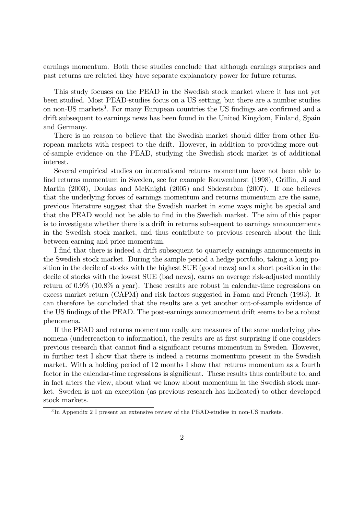earnings momentum. Both these studies conclude that although earnings surprises and past returns are related they have separate explanatory power for future returns.

This study focuses on the PEAD in the Swedish stock market where it has not yet been studied. Most PEAD-studies focus on a US setting, but there are a number studies on non-US markets<sup>3</sup>. For many European countries the US findings are confirmed and a drift subsequent to earnings news has been found in the United Kingdom, Finland, Spain and Germany.

There is no reason to believe that the Swedish market should differ from other European markets with respect to the drift. However, in addition to providing more outof-sample evidence on the PEAD, studying the Swedish stock market is of additional interest.

Several empirical studies on international returns momentum have not been able to find returns momentum in Sweden, see for example Rouwenhorst (1998), Griffin, Ji and Martin (2003), Doukas and McKnight (2005) and Söderström (2007). If one believes that the underlying forces of earnings momentum and returns momentum are the same, previous literature suggest that the Swedish market in some ways might be special and that the PEAD would not be able to find in the Swedish market. The aim of this paper is to investigate whether there is a drift in returns subsequent to earnings announcements in the Swedish stock market, and thus contribute to previous research about the link between earning and price momentum.

I find that there is indeed a drift subsequent to quarterly earnings announcements in the Swedish stock market. During the sample period a hedge portfolio, taking a long position in the decile of stocks with the highest SUE (good news) and a short position in the decile of stocks with the lowest SUE (bad news), earns an average risk-adjusted monthly return of 0.9% (10.8% a year). These results are robust in calendar-time regressions on excess market return (CAPM) and risk factors suggested in Fama and French (1993). It can therefore be concluded that the results are a yet another out-of-sample evidence of the US findings of the PEAD. The post-earnings announcement drift seems to be a robust phenomena.

If the PEAD and returns momentum really are measures of the same underlying phenomena (underreaction to information), the results are at first surprising if one considers previous research that cannot Önd a signiÖcant returns momentum in Sweden. However, in further test I show that there is indeed a returns momentum present in the Swedish market. With a holding period of 12 months I show that returns momentum as a fourth factor in the calendar-time regressions is significant. These results thus contribute to, and in fact alters the view, about what we know about momentum in the Swedish stock market. Sweden is not an exception (as previous research has indicated) to other developed stock markets.

<sup>3</sup> In Appendix 2 I present an extensive review of the PEAD-studies in non-US markets.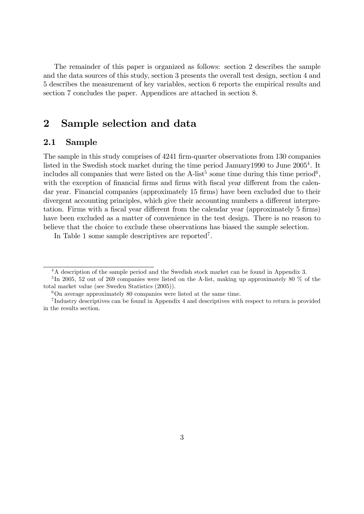The remainder of this paper is organized as follows: section 2 describes the sample and the data sources of this study, section 3 presents the overall test design, section 4 and 5 describes the measurement of key variables, section 6 reports the empirical results and section 7 concludes the paper. Appendices are attached in section 8.

## 2 Sample selection and data

### 2.1 Sample

The sample in this study comprises of 4241 firm-quarter observations from 130 companies listed in the Swedish stock market during the time period January1990 to June 2005<sup>4</sup>. It includes all companies that were listed on the A-list<sup>5</sup> some time during this time period<sup>6</sup>, with the exception of financial firms and firms with fiscal year different from the calendar year. Financial companies (approximately 15 firms) have been excluded due to their divergent accounting principles, which give their accounting numbers a different interpretation. Firms with a fiscal year different from the calendar year (approximately 5 firms) have been excluded as a matter of convenience in the test design. There is no reason to believe that the choice to exclude these observations has biased the sample selection.

In Table 1 some sample descriptives are reported<sup>7</sup>.

<sup>&</sup>lt;sup>4</sup>A description of the sample period and the Swedish stock market can be found in Appendix 3.

<sup>&</sup>lt;sup>5</sup>In 2005, 52 out of 269 companies were listed on the A-list, making up approximately 80 % of the total market value (see Sweden Statistics (2005)).

 $6$ On average approximately 80 companies were listed at the same time.

<sup>7</sup> Industry descriptives can be found in Appendix 4 and descriptives with respect to return is provided in the results section.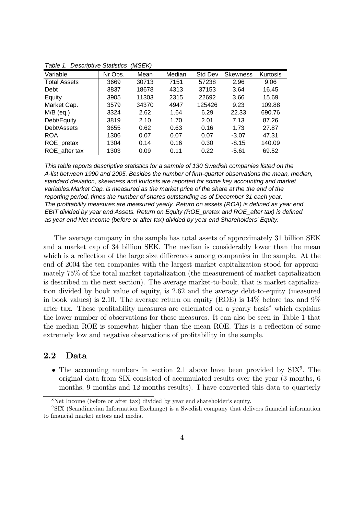| Variable            | Nr Obs. | Mean  | Median | <b>Std Dev</b> | <b>Skewness</b> | Kurtosis |
|---------------------|---------|-------|--------|----------------|-----------------|----------|
| <b>Total Assets</b> | 3669    | 30713 | 7151   | 57238          | 2.96            | 9.06     |
| Debt                | 3837    | 18678 | 4313   | 37153          | 3.64            | 16.45    |
| Equity              | 3905    | 11303 | 2315   | 22692          | 3.66            | 15.69    |
| Market Cap.         | 3579    | 34370 | 4947   | 125426         | 9.23            | 109.88   |
| $M/B$ (eq.)         | 3324    | 2.62  | 1.64   | 6.29           | 22.33           | 690.76   |
| Debt/Equity         | 3819    | 2.10  | 1.70   | 2.01           | 7.13            | 87.26    |
| Debt/Assets         | 3655    | 0.62  | 0.63   | 0.16           | 1.73            | 27.87    |
| <b>ROA</b>          | 1306    | 0.07  | 0.07   | 0.07           | $-3.07$         | 47.31    |
| ROE_pretax          | 1304    | 0.14  | 0.16   | 0.30           | $-8.15$         | 140.09   |
| ROE after tax       | 1303    | 0.09  | 0.11   | 0.22           | $-5.61$         | 69.52    |

*Table 1. Descriptive Statistics (MSEK)*

*This table reports descriptive statistics for a sample of 130 Swedish companies listed on the A-list between 1990 and 2005. Besides the number of firm-quarter observations the mean, median, standard deviation, skewness and kurtosis are reported for some key accounting and market variables.Market Cap. is measured as the market price of the share at the the end of the reporting period, times the number of shares outstanding as of December 31 each year. The profitability measures are measured yearly. Return on assets (ROA) is defined as year end EBIT divided by year end Assets. Return on Equity (ROE\_pretax and ROE\_after tax) is defined as year end Net Income (before or after tax) divided by year end Shareholders' Equity.*

The average company in the sample has total assets of approximately 31 billion SEK and a market cap of 34 billion SEK. The median is considerably lower than the mean which is a reflection of the large size differences among companies in the sample. At the end of 2004 the ten companies with the largest market capitalization stood for approximately 75% of the total market capitalization (the measurement of market capitalization is described in the next section). The average market-to-book, that is market capitalization divided by book value of equity, is 2.62 and the average debt-to-equity (measured in book values) is 2.10. The average return on equity (ROE) is 14% before tax and 9% after tax. These profitability measures are calculated on a yearly basis<sup>8</sup> which explains the lower number of observations for these measures. It can also be seen in Table 1 that the median ROE is somewhat higher than the mean ROE. This is a reflection of some extremely low and negative observations of profitability in the sample.

### 2.2 Data

• The accounting numbers in section 2.1 above have been provided by  $\text{SIX}^9$ . The original data from SIX consisted of accumulated results over the year (3 months, 6 months, 9 months and 12-months results). I have converted this data to quarterly

 $8$ Net Income (before or after tax) divided by year end shareholder's equity.

<sup>&</sup>lt;sup>9</sup>SIX (Scandinavian Information Exchange) is a Swedish company that delivers financial information to financial market actors and media.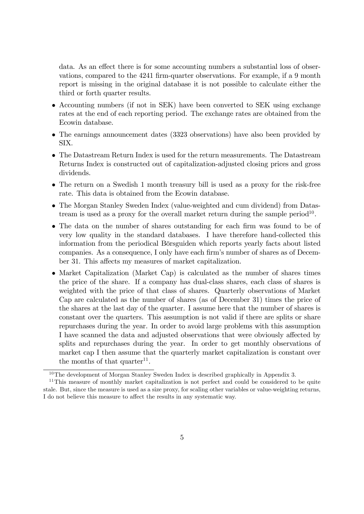data. As an effect there is for some accounting numbers a substantial loss of observations, compared to the 4241 firm-quarter observations. For example, if a 9 month report is missing in the original database it is not possible to calculate either the third or forth quarter results.

- Accounting numbers (if not in SEK) have been converted to SEK using exchange rates at the end of each reporting period. The exchange rates are obtained from the Ecowin database.
- The earnings announcement dates (3323 observations) have also been provided by SIX.
- The Datastream Return Index is used for the return measurements. The Datastream Returns Index is constructed out of capitalization-adjusted closing prices and gross dividends.
- The return on a Swedish 1 month treasury bill is used as a proxy for the risk-free rate. This data is obtained from the Ecowin database.
- The Morgan Stanley Sweden Index (value-weighted and cum dividend) from Datastream is used as a proxy for the overall market return during the sample period<sup>10</sup>.
- The data on the number of shares outstanding for each firm was found to be of very low quality in the standard databases. I have therefore hand-collected this information from the periodical Börsguiden which reports yearly facts about listed companies. As a consequence, I only have each firm's number of shares as of December 31. This affects my measures of market capitalization.
- Market Capitalization (Market Cap) is calculated as the number of shares times the price of the share. If a company has dual-class shares, each class of shares is weighted with the price of that class of shares. Quarterly observations of Market Cap are calculated as the number of shares (as of December 31) times the price of the shares at the last day of the quarter. I assume here that the number of shares is constant over the quarters. This assumption is not valid if there are splits or share repurchases during the year. In order to avoid large problems with this assumption I have scanned the data and adjusted observations that were obviously affected by splits and repurchases during the year. In order to get monthly observations of market cap I then assume that the quarterly market capitalization is constant over the months of that  $quarter<sup>11</sup>$ .

<sup>10</sup>The development of Morgan Stanley Sweden Index is described graphically in Appendix 3.

<sup>&</sup>lt;sup>11</sup>This measure of monthly market capitalization is not perfect and could be considered to be quite stale. But, since the measure is used as a size proxy, for scaling other variables or value-weighting returns, I do not believe this measure to affect the results in any systematic way.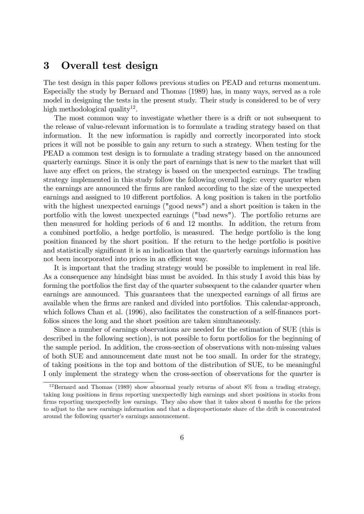### 3 Overall test design

The test design in this paper follows previous studies on PEAD and returns momentum. Especially the study by Bernard and Thomas (1989) has, in many ways, served as a role model in designing the tests in the present study. Their study is considered to be of very high methodological quality<sup>12</sup>.

The most common way to investigate whether there is a drift or not subsequent to the release of value-relevant information is to formulate a trading strategy based on that information. It the new information is rapidly and correctly incorporated into stock prices it will not be possible to gain any return to such a strategy. When testing for the PEAD a common test design is to formulate a trading strategy based on the announced quarterly earnings. Since it is only the part of earnings that is new to the market that will have any effect on prices, the strategy is based on the unexpected earnings. The trading strategy implemented in this study follow the following overall logic: every quarter when the earnings are announced the Örms are ranked according to the size of the unexpected earnings and assigned to 10 different portfolios. A long position is taken in the portfolio with the highest unexpected earnings ("good news") and a short position is taken in the portfolio with the lowest unexpected earnings ("bad news"). The portfolio returns are then measured for holding periods of 6 and 12 months. In addition, the return from a combined portfolio, a hedge portfolio, is measured. The hedge portfolio is the long position Önanced by the short position. If the return to the hedge portfolio is positive and statistically significant it is an indication that the quarterly earnings information has not been incorporated into prices in an efficient way.

It is important that the trading strategy would be possible to implement in real life. As a consequence any hindsight bias must be avoided. In this study I avoid this bias by forming the portfolios the first day of the quarter subsequent to the calander quarter when earnings are announced. This guarantees that the unexpected earnings of all firms are available when the firms are ranked and divided into portfolios. This calendar-approach, which follows Chan et al. (1996), also facilitates the construction of a self-finances portfolios sinces the long and the short position are taken simultaneously.

Since a number of earnings observations are needed for the estimation of SUE (this is described in the following section), is not possible to form portfolios for the beginning of the sample period. In addition, the cross-section of observations with non-missing values of both SUE and announcement date must not be too small. In order for the strategy, of taking positions in the top and bottom of the distribution of SUE, to be meaningful I only implement the strategy when the cross-section of observations for the quarter is

<sup>&</sup>lt;sup>12</sup>Bernard and Thomas (1989) show abnormal yearly returns of about 8% from a trading strategy, taking long positions in Örms reporting unexpectedly high earnings and short positions in stocks from firms reporting unexpectedly low earnings. They also show that it takes about 6 months for the prices to adjust to the new earnings information and that a disproportionate share of the drift is concentrated around the following quarter's earnings announcement.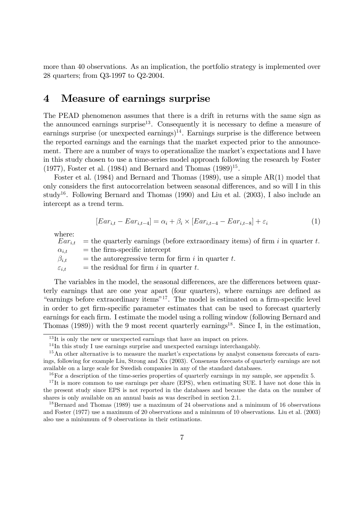more than 40 observations. As an implication, the portfolio strategy is implemented over 28 quarters; from Q3-1997 to Q2-2004.

## 4 Measure of earnings surprise

The PEAD phenomenon assumes that there is a drift in returns with the same sign as the announced earnings surprise<sup>13</sup>. Consequently it is necessary to define a measure of earnings surprise (or unexpected earnings)<sup>14</sup>. Earnings surprise is the difference between the reported earnings and the earnings that the market expected prior to the announcement. There are a number of ways to operationalize the market's expectations and I have in this study chosen to use a time-series model approach following the research by Foster  $(1977)$ , Foster et al.  $(1984)$  and Bernard and Thomas  $(1989)^{15}$ .

Foster et al. (1984) and Bernard and Thomas (1989), use a simple AR(1) model that only considers the first autocorrelation between seasonal differences, and so will I in this study<sup>16</sup>. Following Bernard and Thomas  $(1990)$  and Liu et al.  $(2003)$ , I also include an intercept as a trend term.

$$
[Ear_{i,t} - Ear_{i,t-4}] = \alpha_i + \beta_i \times [Ear_{i,t-4} - Ear_{i,t-8}] + \varepsilon_i
$$
\n(1)

where:

 $Ear_{i,t}$  = the quarterly earnings (before extraordinary items) of firm i in quarter t.  $\alpha_{i,t}$  = the firm-specific intercept  $\beta_{i,t}$  = the autoregressive term for firm i in quarter t.  $\varepsilon_{i,t}$  = the residual for firm i in quarter t.

The variables in the model, the seasonal differences, are the differences between quarterly earnings that are one year apart (four quarters), where earnings are defined as "earnings before extraordinary items"<sup>17</sup>. The model is estimated on a firm-specific level in order to get firm-specific parameter estimates that can be used to forecast quarterly earnings for each firm. I estimate the model using a rolling window (following Bernard and Thomas (1989)) with the 9 most recent quarterly earnings<sup>18</sup>. Since I, in the estimation,

 $13$ It is only the new or unexpected earnings that have an impact on prices.

 $14$ In this study I use earnings surprise and unexpected earnings interchangably.

<sup>&</sup>lt;sup>15</sup>An other alternative is to measure the market's expectations by analyst consensus forecasts of earnings, following for example Liu, Strong and Xu (2003). Consensus forecasts of quarterly earnings are not available on a large scale for Swedish companies in any of the standard databases.

 $16$  For a description of the time-series properties of quarterly earnings in my sample, see appendix 5.

<sup>&</sup>lt;sup>17</sup>It is more common to use earnings per share (EPS), when estimating SUE. I have not done this in the present study since EPS is not reported in the databases and because the data on the number of shares is only available on an annual basis as was described in section 2.1.

<sup>18</sup>Bernard and Thomas (1989) use a maximum of 24 observations and a minimum of 16 observations and Foster (1977) use a maximum of 20 observations and a minimum of 10 observations. Liu et al. (2003) also use a miniumum of 9 observations in their estimations.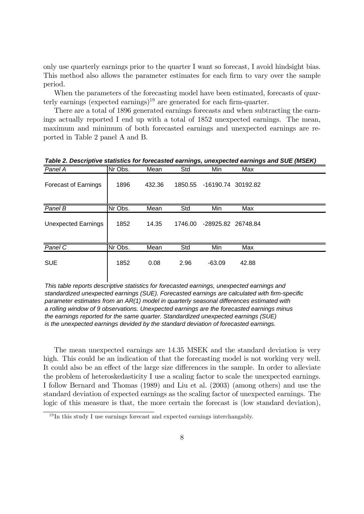only use quarterly earnings prior to the quarter I want so forecast, I avoid hindsight bias. This method also allows the parameter estimates for each firm to vary over the sample period.

When the parameters of the forecasting model have been estimated, forecasts of quarterly earnings (expected earnings)<sup>19</sup> are generated for each firm-quarter.

There are a total of 1896 generated earnings forecasts and when subtracting the earnings actually reported I end up with a total of 1852 unexpected earnings. The mean, maximum and minimum of both forecasted earnings and unexpected earnings are reported in Table 2 panel A and B.

| Panel A                     | Nr Obs. | Mean   | Std     | Min                | Max   |  |
|-----------------------------|---------|--------|---------|--------------------|-------|--|
| <b>Forecast of Earnings</b> | 1896    | 432.36 | 1850.55 | -16190.74 30192.82 |       |  |
| Panel B                     | Nr Obs. | Mean   | Std     | Min                | Max   |  |
| <b>Unexpected Earnings</b>  | 1852    | 14.35  | 1746.00 | -28925.82 26748.84 |       |  |
| Panel C                     | Nr Obs. | Mean   | Std     | Min                | Max   |  |
| <b>SUE</b>                  | 1852    | 0.08   | 2.96    | $-63.09$           | 42.88 |  |

*Table 2. Descriptive statistics for forecasted earnings, unexpected earnings and SUE (MSEK)*

*This table reports descriptive statistics for forecasted earnings, unexpected earnings and standardized unexpected earnings (SUE). Forecasted earnings are calculated with firm-specific parameter estimates from an AR(1) model in quarterly seasonal differences estimated with a rolling window of 9 observations. Unexpected earnings are the forecasted earnings minus the earnings reported for the same quarter. Standardized unexpected earnings (SUE) is the unexpected earnings devided by the standard deviation of forecasted earnings.*

The mean unexpected earnings are 14.35 MSEK and the standard deviation is very high. This could be an indication of that the forecasting model is not working very well. It could also be an effect of the large size differences in the sample. In order to alleviate the problem of heteroskedasticity I use a scaling factor to scale the unexpected earnings. I follow Bernard and Thomas (1989) and Liu et al. (2003) (among others) and use the standard deviation of expected earnings as the scaling factor of unexpected earnings. The logic of this measure is that, the more certain the forecast is (low standard deviation),

 $19$ In this study I use earnings forecast and expected earnings interchangably.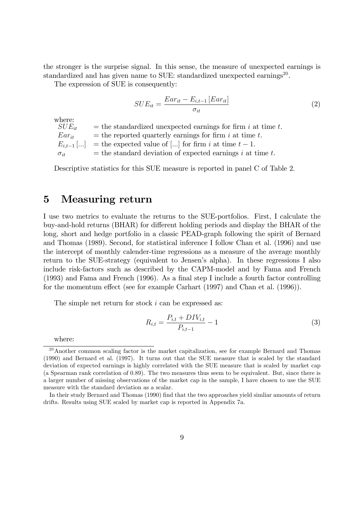the stronger is the surprise signal. In this sense, the measure of unexpected earnings is standardized and has given name to SUE: standardized unexpected earnings<sup>20</sup>.

The expression of SUE is consequently:

$$
SUE_{it} = \frac{Ear_{it} - E_{i,t-1}[Ear_{it}]}{\sigma_{it}}\tag{2}
$$

where:<br> $SUE_{it}$ = the standardized unexpected earnings for firm  $i$  at time  $t$ .  $Ear_{it}$  = the reported quarterly earnings for firm i at time t.  $E_{i,t-1}$ [...] = the expected value of [...] for firm i at time  $t-1$ .  $\sigma_{it}$  = the standard deviation of expected earnings i at time t.

Descriptive statistics for this SUE measure is reported in panel C of Table 2.

### 5 Measuring return

I use two metrics to evaluate the returns to the SUE-portfolios. First, I calculate the buy-and-hold returns (BHAR) for different holding periods and display the BHAR of the long, short and hedge portfolio in a classic PEAD-graph following the spirit of Bernard and Thomas (1989). Second, for statistical inference I follow Chan et al. (1996) and use the intercept of monthly calender-time regressions as a measure of the average monthly return to the SUE-strategy (equivalent to Jensen's alpha). In these regressions I also include risk-factors such as described by the CAPM-model and by Fama and French  $(1993)$  and Fama and French  $(1996)$ . As a final step I include a fourth factor controlling for the momentum effect (see for example Carhart  $(1997)$  and Chan et al.  $(1996)$ ).

The simple net return for stock i can be expressed as:

$$
R_{i,t} = \frac{P_{i,t} + DIV_{i,t}}{P_{i,t-1}} - 1
$$
\n(3)

where:

<sup>&</sup>lt;sup>20</sup>Another common scaling factor is the market capitalization, see for example Bernard and Thomas (1990) and Bernard et al. (1997). It turns out that the SUE measure that is scaled by the standard deviation of expected earnings is highly correlated with the SUE measure that is scaled by market cap (a Spearman rank correlation of 0.89). The two measures thus seem to be equivalent. But, since there is a larger number of missing observations of the market cap in the sample, I have chosen to use the SUE measure with the standard deviation as a scalar.

In their study Bernard and Thomas (1990) Önd that the two approaches yield simliar amounts of return drifts. Results using SUE scaled by market cap is reported in Appendix 7a.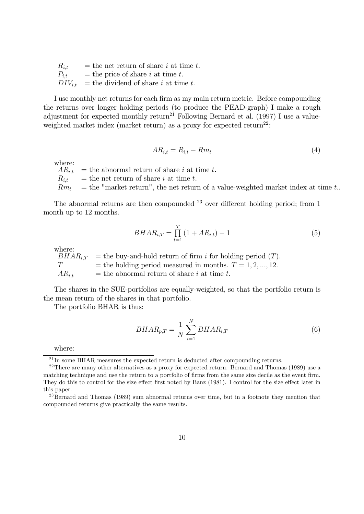| $R_{i,t}$ | $=$ the net return of share i at time t.           |
|-----------|----------------------------------------------------|
| $P_{i,t}$ | $=$ the price of share <i>i</i> at time <i>t</i> . |
|           | $DIV_{i,t}$ = the dividend of share i at time t.   |

I use monthly net returns for each firm as my main return metric. Before compounding the returns over longer holding periods (to produce the PEAD-graph) I make a rough adjustment for expected monthly return<sup>21</sup> Following Bernard et al. (1997) I use a valueweighted market index (market return) as a proxy for expected return<sup>22</sup>:

$$
AR_{i,t} = R_{i,t} - Rm_t \tag{4}
$$

where:<br> $AR_{i.t}$ 

 $=$  the abnormal return of share i at time t.

 $R_{i,t}$  = the net return of share i at time t.

 $Rm_t$  = the "market return", the net return of a value-weighted market index at time t..

The abnormal returns are then compounded  $^{23}$  over different holding period; from 1 month up to 12 months.

$$
BHAR_{i,T} = \prod_{t=1}^{T} (1 + AR_{i,t}) - 1
$$
\n(5)

where:<br> $BHAR_{i,T}$  $\equiv$  the buy-and-hold return of firm i for holding period (T).  $T =$  the holding period measured in months.  $T = 1, 2, ..., 12$ .  $AR_{i,t}$  = the abnormal return of share i at time t.

The shares in the SUE-portfolios are equally-weighted, so that the portfolio return is the mean return of the shares in that portfolio.

The portfolio BHAR is thus:

$$
BHAR_{p,T} = \frac{1}{N} \sum_{i=1}^{N} BHAR_{i,T}
$$
\n
$$
\tag{6}
$$

where:

 $^{21}$ In some BHAR measures the expected return is deducted after compounding returns.

 $22$ There are many other alternatives as a proxy for expected return. Bernard and Thomas (1989) use a matching technique and use the return to a portfolio of firms from the same size decile as the event firm. They do this to control for the size effect first noted by Banz (1981). I control for the size effect later in this paper.

<sup>&</sup>lt;sup>23</sup>Bernard and Thomas (1989) sum abnormal returns over time, but in a footnote they mention that compounded returns give practically the same results.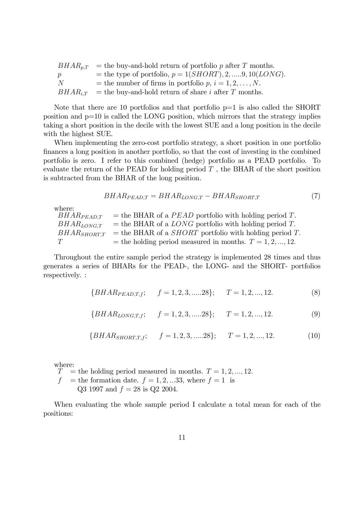|                | $BHAR_{p,T}$ = the buy-and-hold return of portfolio p after T months. |
|----------------|-----------------------------------------------------------------------|
| р              | = the type of portfolio, $p = 1(SHORT), 2, \ldots, 9, 10(LONG)$ .     |
| $\overline{N}$ | = the number of firms in portfolio p, $i = 1, 2, , N$ .               |
|                | $BHAR_{iT}$ = the buy-and-hold return of share i after T months.      |

Note that there are 10 portfolios and that portfolio  $p=1$  is also called the SHORT position and p=10 is called the LONG position, which mirrors that the strategy implies taking a short position in the decile with the lowest SUE and a long position in the decile with the highest SUE.

When implementing the zero-cost portfolio strategy, a short position in one portfolio Önances a long position in another portfolio, so that the cost of investing in the combined portfolio is zero. I refer to this combined (hedge) portfolio as a PEAD portfolio. To evaluate the return of the PEAD for holding period  $T$ , the BHAR of the short position is subtracted from the BHAR of the long position.

$$
BHAR_{PEAD,T} = BHAR_{LONG,T} - BHAR_{SHORT,T}
$$
\n<sup>(7)</sup>

where:

 $BHAR_{PEAD,T}$  = the BHAR of a PEAD portfolio with holding period T.  $BHAR_{LONG,T}$  = the BHAR of a LONG portfolio with holding period T.  $BHAR<sub>SHORTT</sub>$  = the BHAR of a *SHORT* portfolio with holding period T.  $T =$  the holding period measured in months.  $T = 1, 2, ..., 12$ .

Throughout the entire sample period the strategy is implemented 28 times and thus generates a series of BHARs for the PEAD-, the LONG- and the SHORT- portfolios respectively. :

$$
{BHARPEAD,T,f}; \t f = 1, 2, 3, \dots 28}; \t T = 1, 2, \dots, 12.
$$
\t(8)

$$
\{BHAR_{LONG,T,f}; \t f = 1, 2, 3, \dots 28\}; \t T = 1, 2, \dots, 12. \t (9)
$$

$$
{BHAR_{SHORT,T,f}}; \t f = 1, 2, 3, \dots 28; \t T = 1, 2, \dots, 12.
$$
 (10)

where:

 $T =$  the holding period measured in months.  $T = 1, 2, ..., 12$ .  $f$  = the formation date.  $f = 1, 2, \dots 33$ , where  $f = 1$  is Q3 1997 and  $f = 28$  is Q2 2004.

When evaluating the whole sample period I calculate a total mean for each of the positions: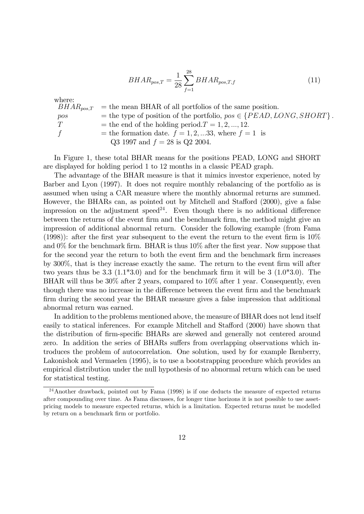$$
BHAR_{pos,T} = \frac{1}{28} \sum_{f=1}^{28} BHAR_{pos,T,f}
$$
\n(11)

where:

 $BHAR_{pos,T}$  = the mean BHAR of all portfolios of the same position. pos  $=$  the type of position of the portfolio,  $pos \in \{PEAD, LONG, SHORT\}$ .<br>  $T =$  the end of the holding period.  $T = 1, 2, ..., 12$ . = the end of the holding period.  $T = 1, 2, ..., 12$ . f  $=$  the formation date.  $f = 1, 2, \dots 33$ , where  $f = 1$  is Q3 1997 and  $f = 28$  is Q2 2004.

In Figure 1, these total BHAR means for the positions PEAD, LONG and SHORT are displayed for holding period 1 to 12 months in a classic PEAD graph.

The advantage of the BHAR measure is that it mimics investor experience, noted by Barber and Lyon (1997). It does not require monthly rebalancing of the portfolio as is assumed when using a CAR measure where the monthly abnormal returns are summed. However, the BHARs can, as pointed out by Mitchell and Stafford (2000), give a false impression on the adjustment speed<sup>24</sup>. Even though there is no additional difference between the returns of the event firm and the benchmark firm, the method might give an impression of additional abnormal return. Consider the following example (from Fama (1998)): after the first year subsequent to the event the return to the event firm is  $10\%$ and  $0\%$  for the benchmark firm. BHAR is thus  $10\%$  after the first year. Now suppose that for the second year the return to both the event firm and the benchmark firm increases by 300%, that is they increase exactly the same. The return to the event firm will after two years thus be 3.3  $(1.1^*3.0)$  and for the benchmark firm it will be 3  $(1.0^*3.0)$ . The BHAR will thus be 30% after 2 years, compared to 10% after 1 year. Consequently, even though there was no increase in the difference between the event firm and the benchmark firm during the second year the BHAR measure gives a false impression that additional abnormal return was earned.

In addition to the problems mentioned above, the measure of BHAR does not lend itself easily to statical inferences. For example Mitchell and Stafford (2000) have shown that the distribution of firm-specific BHARs are skewed and generally not centered around zero. In addition the series of BHARs suffers from overlapping observations which introduces the problem of autocorrelation. One solution, used by for example Ikenberry, Lakonishok and Vermaelen (1995), is to use a bootstrapping procedure which provides an empirical distribution under the null hypothesis of no abnormal return which can be used for statistical testing.

 $^{24}$ Another drawback, pointed out by Fama (1998) is if one deducts the measure of expected returns after compounding over time. As Fama discusses, for longer time horizons it is not possible to use assetpricing models to measure expected returns, which is a limitation. Expected returns must be modelled by return on a benchmark firm or portfolio.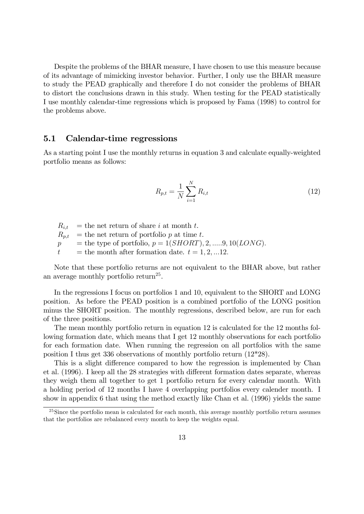Despite the problems of the BHAR measure, I have chosen to use this measure because of its advantage of mimicking investor behavior. Further, I only use the BHAR measure to study the PEAD graphically and therefore I do not consider the problems of BHAR to distort the conclusions drawn in this study. When testing for the PEAD statistically I use monthly calendar-time regressions which is proposed by Fama (1998) to control for the problems above.

#### 5.1 Calendar-time regressions

As a starting point I use the monthly returns in equation 3 and calculate equally-weighted portfolio means as follows:

$$
R_{p,t} = \frac{1}{N} \sum_{i=1}^{N} R_{i,t}
$$
 (12)

 $R_{i,t}$  = the net return of share i at month t.  $R_{p,t}$  = the net return of portfolio p at time t.  $p =$  the type of portfolio,  $p = 1(SHORT), 2, \ldots, 9, 10(LONG).$  $t =$  the month after formation date.  $t = 1, 2, ... 12$ .

Note that these portfolio returns are not equivalent to the BHAR above, but rather an average monthly portfolio return<sup>25</sup>.

In the regressions I focus on portfolios 1 and 10, equivalent to the SHORT and LONG position. As before the PEAD position is a combined portfolio of the LONG position minus the SHORT position. The monthly regressions, described below, are run for each of the three positions.

The mean monthly portfolio return in equation 12 is calculated for the 12 months following formation date, which means that I get 12 monthly observations for each portfolio for each formation date. When running the regression on all portfolios with the same position I thus get 336 observations of monthly portfolio return (12\*28).

This is a slight difference compared to how the regression is implemented by Chan et al.  $(1996)$ . I keep all the 28 strategies with different formation dates separate, whereas they weigh them all together to get 1 portfolio return for every calendar month. With a holding period of 12 months I have 4 overlapping portfolios every calender month. I show in appendix 6 that using the method exactly like Chan et al. (1996) yields the same

 $^{25}$ Since the portfolio mean is calculated for each month, this average monthly portfolio return assumes that the portfolios are rebalanced every month to keep the weights equal.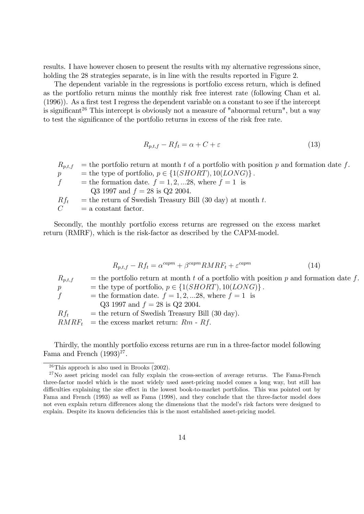results. I have however chosen to present the results with my alternative regressions since, holding the 28 strategies separate, is in line with the results reported in Figure 2.

The dependent variable in the regressions is portfolio excess return, which is defined as the portfolio return minus the monthly risk free interest rate (following Chan et al.  $(1996)$ ). As a first test I regress the dependent variable on a constant to see if the intercept is significant<sup>26</sup> This intercept is obviously not a measure of "abnormal return", but a way to test the significance of the portfolio returns in excess of the risk free rate.

$$
R_{p,t,f} - Rf_t = \alpha + C + \varepsilon \tag{13}
$$

 $R_{p,t,f}$  = the portfolio return at month t of a portfolio with position p and formation date f. p = the type of portfolio,  $p \in \{1(SHORT), 10(LONG)\}\$ .<br>
f = the formation date.  $f = 1, 2, ... 28$ , where  $f = 1$  is = the formation date.  $f = 1, 2, ... 28$ , where  $f = 1$  is Q3 1997 and  $f = 28$  is Q2 2004.  $Rf_t$  = the return of Swedish Treasury Bill (30 day) at month t.<br>  $C$  = a constant factor.  $=$  a constant factor.

Secondly, the monthly portfolio excess returns are regressed on the excess market return (RMRF), which is the risk-factor as described by the CAPM-model.

$$
R_{p,t,f} - Rf_t = \alpha^{capm} + \beta^{capm} RMRF_t + \varepsilon^{capm}
$$
\n(14)

| $R_{p,t,f}$     | = the portfolio return at month t of a portfolio with position p and formation date f. |
|-----------------|----------------------------------------------------------------------------------------|
| $p_{\parallel}$ | = the type of portfolio, $p \in \{1(SHORT), 10(LONG)\}\.$                              |
| f               | = the formation date. $f = 1, 2,  28$ , where $f = 1$ is                               |
|                 | Q3 1997 and $f = 28$ is Q2 2004.                                                       |
| $Rf_t$          | $=$ the return of Swedish Treasury Bill (30 day).                                      |
|                 | $RMRF_t$ = the excess market return: Rm - Rf.                                          |

Thirdly, the monthly portfolio excess returns are run in a three-factor model following Fama and French  $(1993)^{27}$ .

 $26$ This approch is also used in Brooks (2002).

<sup>&</sup>lt;sup>27</sup>No asset pricing model can fully explain the cross-section of average returns. The Fama-French three-factor model which is the most widely used asset-pricing model comes a long way, but still has difficulties explaining the size effect in the lowest book-to-market portfolios. This was pointed out by Fama and French (1993) as well as Fama (1998), and they conclude that the three-factor model does not even explain return differences along the dimensions that the model's risk factors were designed to explain. Despite its known deficiencies this is the most established asset-pricing model.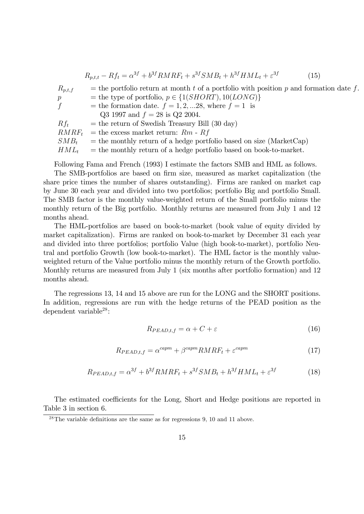$$
R_{p,t,t} - Rf_t = \alpha^{3f} + b^{3f}RMRF_t + s^{3f}SMB_t + h^{3f}HML_t + \varepsilon^{3f}
$$
 (15)

 $R_{p,t,f}$  = the portfolio return at month t of a portfolio with position p and formation date f. p = the type of portfolio,  $p \in \{1(SHORT), 10(LONG)\}$ <br>f = the formation date.  $f = 1, 2, ... 28$ , where  $f = 1$  is = the formation date.  $f = 1, 2, \dots 28$ , where  $f = 1$  is Q3 1997 and  $f = 28$  is Q2 2004.  $Rf_t$  = the return of Swedish Treasury Bill (30 day)  $RMRF_t$  = the excess market return: Rm - Rf  $SMB_t$  = the monthly return of a hedge portfolio based on size (MarketCap)  $HML_t$  = the monthly return of a hedge portfolio based on book-to-market.

Following Fama and French (1993) I estimate the factors SMB and HML as follows.

The SMB-portfolios are based on firm size, measured as market capitalization (the share price times the number of shares outstanding). Firms are ranked on market cap by June 30 each year and divided into two portfolios; portfolio Big and portfolio Small. The SMB factor is the monthly value-weighted return of the Small portfolio minus the monthly return of the Big portfolio. Monthly returns are measured from July 1 and 12 months ahead.

The HML-portfolios are based on book-to-market (book value of equity divided by market capitalization). Firms are ranked on book-to-market by December 31 each year and divided into three portfolios; portfolio Value (high book-to-market), portfolio Neutral and portfolio Growth (low book-to-market). The HML factor is the monthly valueweighted return of the Value portfolio minus the monthly return of the Growth portfolio. Monthly returns are measured from July 1 (six months after portfolio formation) and 12 months ahead.

The regressions 13, 14 and 15 above are run for the LONG and the SHORT positions. In addition, regressions are run with the hedge returns of the PEAD position as the dependent variable<sup>28</sup>:

$$
R_{PEAD,t,f} = \alpha + C + \varepsilon \tag{16}
$$

$$
R_{PEAD,t,f} = \alpha^{capm} + \beta^{capm} RMRF_t + \varepsilon^{capm} \tag{17}
$$

$$
R_{PEAD,t,f} = \alpha^{3f} + b^{3f}RMRF_t + s^{3f}SMB_t + h^{3f}HML_t + \varepsilon^{3f}
$$
(18)

The estimated coefficients for the Long, Short and Hedge positions are reported in Table 3 in section 6.

 $^{28}$ The variable definitions are the same as for regressions 9, 10 and 11 above.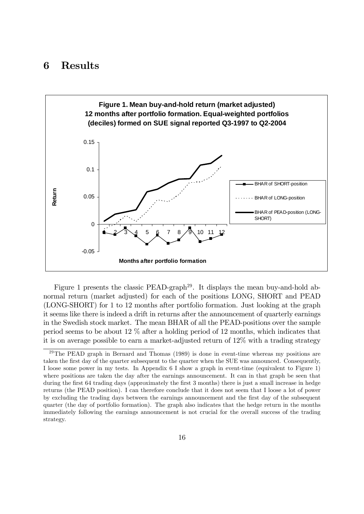## 6 Results



Figure 1 presents the classic PEAD-graph<sup>29</sup>. It displays the mean buy-and-hold abnormal return (market adjusted) for each of the positions LONG, SHORT and PEAD (LONG-SHORT) for 1 to 12 months after portfolio formation. Just looking at the graph it seems like there is indeed a drift in returns after the announcement of quarterly earnings in the Swedish stock market. The mean BHAR of all the PEAD-positions over the sample period seems to be about 12 % after a holding period of 12 months, which indicates that it is on average possible to earn a market-adjusted return of 12% with a trading strategy

 $29$ The PEAD graph in Bernard and Thomas (1989) is done in event-time whereas my positions are taken the Örst day of the quarter subsequent to the quarter when the SUE was announced. Consequently, I loose some power in my tests. In Appendix 6 I show a graph in event-time (equivalent to Figure 1) where positions are taken the day after the earnings announcement. It can in that graph be seen that during the first 64 trading days (approximately the first 3 months) there is just a small increase in hedge returns (the PEAD position). I can therefore conclude that it does not seem that I loose a lot of power by excluding the trading days between the earnings announcement and the Örst day of the subsequent quarter (the day of portfolio formation). The graph also indicates that the hedge return in the months immediately following the earnings announcement is not crucial for the overall success of the trading strategy.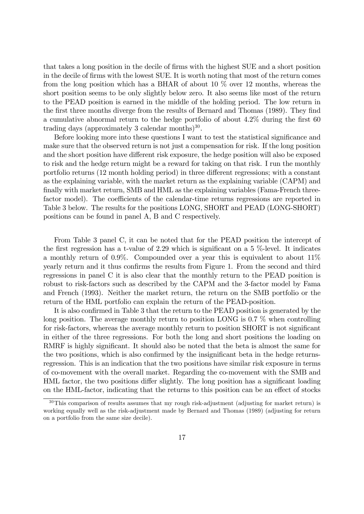that takes a long position in the decile of Örms with the highest SUE and a short position in the decile of firms with the lowest SUE. It is worth noting that most of the return comes from the long position which has a BHAR of about 10  $\%$  over 12 months, whereas the short position seems to be only slightly below zero. It also seems like most of the return to the PEAD position is earned in the middle of the holding period. The low return in the first three months diverge from the results of Bernard and Thomas (1989). They find a cumulative abnormal return to the hedge portfolio of about  $4.2\%$  during the first 60 trading days (approximately 3 calendar months) $30$ .

Before looking more into these questions I want to test the statistical significance and make sure that the observed return is not just a compensation for risk. If the long position and the short position have different risk exposure, the hedge position will also be exposed to risk and the hedge return might be a reward for taking on that risk. I run the monthly portfolio returns (12 month holding period) in three different regressions; with a constant as the explaining variable, with the market return as the explaining variable (CAPM) and finally with market return, SMB and HML as the explaining variables (Fama-French threefactor model). The coefficients of the calendar-time returns regressions are reported in Table 3 below. The results for the positions LONG, SHORT and PEAD (LONG-SHORT) positions can be found in panel A, B and C respectively.

From Table 3 panel C, it can be noted that for the PEAD position the intercept of the first regression has a t-value of 2.29 which is significant on a 5 %-level. It indicates a monthly return of 0.9%. Compounded over a year this is equivalent to about 11% yearly return and it thus confirms the results from Figure 1. From the second and third regressions in panel C it is also clear that the monthly return to the PEAD position is robust to risk-factors such as described by the CAPM and the 3-factor model by Fama and French (1993). Neither the market return, the return on the SMB portfolio or the return of the HML portfolio can explain the return of the PEAD-position.

It is also confirmed in Table 3 that the return to the PEAD position is generated by the long position. The average monthly return to position LONG is 0.7 % when controlling for risk-factors, whereas the average monthly return to position SHORT is not significant in either of the three regressions. For both the long and short positions the loading on RMRF is highly significant. It should also be noted that the beta is almost the same for the two positions, which is also confirmed by the insignificant beta in the hedge returnsregression. This is an indication that the two positions have similar risk exposure in terms of co-movement with the overall market. Regarding the co-movement with the SMB and HML factor, the two positions differ slightly. The long position has a significant loading on the HML-factor, indicating that the returns to this position can be an effect of stocks

<sup>&</sup>lt;sup>30</sup>This comparison of results assumes that my rough risk-adjustment (adjusting for market return) is working equally well as the risk-adjustment made by Bernard and Thomas (1989) (adjusting for return on a portfolio from the same size decile).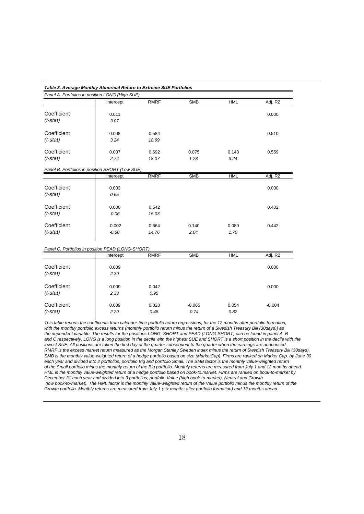|                                                   | Table 3. Average Monthly Abnormal Return to Extreme SUE Portfolios |                |                     |               |          |  |  |  |
|---------------------------------------------------|--------------------------------------------------------------------|----------------|---------------------|---------------|----------|--|--|--|
| Panel A. Portfolios in position LONG (High SUE)   |                                                                    |                |                     |               |          |  |  |  |
|                                                   | Intercept                                                          | <b>RMRF</b>    | <b>SMB</b>          | <b>HML</b>    | Adj. R2  |  |  |  |
| Coefficient<br>$(t$ -stat)                        | 0.011<br>3.07                                                      |                |                     |               | 0.000    |  |  |  |
| Coefficient<br>$(t$ -stat)                        | 0.008<br>3.24                                                      | 0.584<br>18.69 |                     |               | 0.510    |  |  |  |
| Coefficient<br>$(t$ -stat)                        | 0.007<br>2.74                                                      | 0.692<br>18.07 | 0.075<br>1.28       | 0.143<br>3.24 | 0.559    |  |  |  |
| Panel B. Portfolios in position SHORT (Low SUE)   |                                                                    |                |                     |               |          |  |  |  |
|                                                   | Intercept                                                          | <b>RMRF</b>    | <b>SMB</b>          | <b>HML</b>    | Adj. R2  |  |  |  |
| Coefficient<br>$(t$ -stat)                        | 0.003<br>0.65                                                      |                |                     |               | 0.000    |  |  |  |
| Coefficient<br>$(t$ -stat)                        | 0.000<br>$-0.06$                                                   | 0.542<br>15.03 |                     |               | 0.402    |  |  |  |
| Coefficient<br>$(t$ -stat)                        | $-0.002$<br>$-0.60$                                                | 0.664<br>14.76 | 0.140<br>2.04       | 0.089<br>1.70 | 0.442    |  |  |  |
| Panel C. Portfolios in position PEAD (LONG-SHORT) |                                                                    |                |                     |               |          |  |  |  |
|                                                   | Intercept                                                          | <b>RMRF</b>    | <b>SMB</b>          | <b>HML</b>    | Adj. R2  |  |  |  |
| Coefficient<br>$(t$ -stat)                        | 0.009<br>2.39                                                      |                |                     |               | 0.000    |  |  |  |
| Coefficient<br>$(t$ -stat)                        | 0.009<br>2.33                                                      | 0.042<br>0.95  |                     |               | 0.000    |  |  |  |
| Coefficient<br>$(t$ -stat)                        | 0.009<br>2.29                                                      | 0.028<br>0.48  | $-0.065$<br>$-0.74$ | 0.054<br>0.82 | $-0.004$ |  |  |  |

*This table reports the coefficents from calender-time portfolio return regressions, for the 12 months after portfolio formation, with the monthly portfolio excess returns (monthly portfolio return minus the return of a Swedish Treasury Bill (30days)) as the dependent variable. The results for the positions LONG, SHORT and PEAD (LONG-SHORT) can be found in panel A, B and C respectively. LONG is a long position in the decile with the highest SUE and SHORT is a short position in the decile with the lowest SUE. All positions are taken the first day of the quarter subsequent to the quarter when the earnings are announced. RMRF is the excess market return measured as the Morgan Stanley Sweden index minus the return of Swedish Treasury Bill (30days). SMB is the monthly value-weighted return of a hedge portfolio based on size (MarketCap). Firms are ranked on Market Cap. by June 30 each year and divided into 2 portfolios; portfolio Big and portfolio Small. The SMB factor is the monthly value-weighted return of the Small portfolio minus the monthly return of the Big portfolio. Monthly returns are measured from July 1 and 12 months ahead. HML is the monthly value-weighted return of a hedge portfolio based on book-to.market. Firms are ranked on book-to-market by December 31 each year and divided into 3 portfolios; portfolio Value (high book-to-market), Neutral and Growth (low book-to-market). The HML factor is the monthly value-weighted return of the Value portfolio minus the monthly return of the Growth portfolio. Monthly returns are measured from July 1 (six months after portfolio formation) and 12 months ahead.*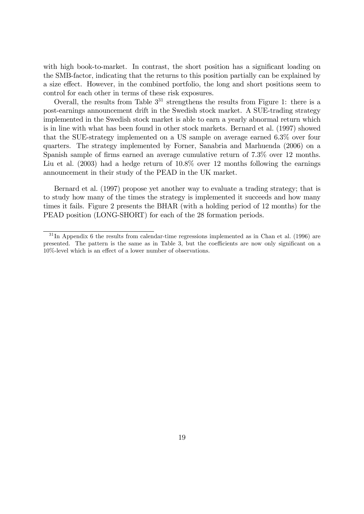with high book-to-market. In contrast, the short position has a significant loading on the SMB-factor, indicating that the returns to this position partially can be explained by a size effect. However, in the combined portfolio, the long and short positions seem to control for each other in terms of these risk exposures.

Overall, the results from Table  $3^{31}$  strengthens the results from Figure 1: there is a post-earnings announcement drift in the Swedish stock market. A SUE-trading strategy implemented in the Swedish stock market is able to earn a yearly abnormal return which is in line with what has been found in other stock markets. Bernard et al. (1997) showed that the SUE-strategy implemented on a US sample on average earned 6.3% over four quarters. The strategy implemented by Forner, Sanabria and Marhuenda (2006) on a Spanish sample of firms earned an average cumulative return of 7.3% over 12 months. Liu et al. (2003) had a hedge return of 10.8% over 12 months following the earnings announcement in their study of the PEAD in the UK market.

Bernard et al. (1997) propose yet another way to evaluate a trading strategy; that is to study how many of the times the strategy is implemented it succeeds and how many times it fails. Figure 2 presents the BHAR (with a holding period of 12 months) for the PEAD position (LONG-SHORT) for each of the 28 formation periods.

 $31$  In Appendix 6 the results from calendar-time regressions implemented as in Chan et al. (1996) are presented. The pattern is the same as in Table 3, but the coefficients are now only significant on a  $10\%$ -level which is an effect of a lower number of observations.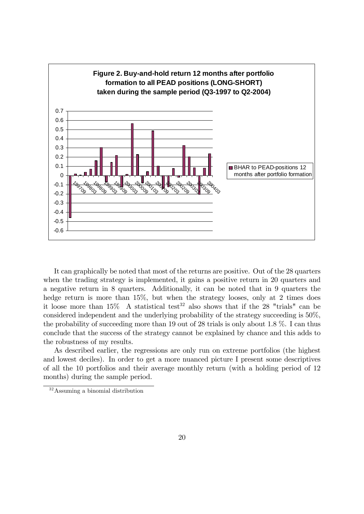

It can graphically be noted that most of the returns are positive. Out of the 28 quarters when the trading strategy is implemented, it gains a positive return in 20 quarters and a negative return in 8 quarters. Additionally, it can be noted that in 9 quarters the hedge return is more than 15%, but when the strategy looses, only at 2 times does it loose more than  $15\%$  A statistical test<sup>32</sup> also shows that if the 28 "trials" can be considered independent and the underlying probability of the strategy succeeding is 50%, the probability of succeeding more than 19 out of 28 trials is only about 1.8 %. I can thus conclude that the success of the strategy cannot be explained by chance and this adds to the robustness of my results.

As described earlier, the regressions are only run on extreme portfolios (the highest and lowest deciles). In order to get a more nuanced picture I present some descriptives of all the 10 portfolios and their average monthly return (with a holding period of 12 months) during the sample period.

<sup>32</sup>Assuming a binomial distribution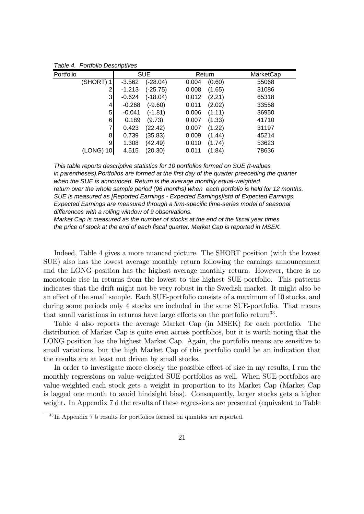| Portfolio | <b>SUE</b>             | Return          | MarketCap |
|-----------|------------------------|-----------------|-----------|
| (SHORT) 1 | $(-28.04)$<br>$-3.562$ | (0.60)<br>0.004 | 55068     |
|           | $(-25.75)$<br>$-1.213$ | 0.008<br>(1.65) | 31086     |
| 3         | $-0.624$<br>$(-18.04)$ | (2.21)<br>0.012 | 65318     |
| 4         | $-0.268$<br>$(-9.60)$  | (2.02)<br>0.011 | 33558     |
| 5         | $-0.041$<br>(-1.81)    | 0.006<br>(1.11) | 36950     |
| 6         | 0.189<br>(9.73)        | (1.33)<br>0.007 | 41710     |
|           | 0.423<br>(22.42)       | (1.22)<br>0.007 | 31197     |
| 8         | 0.739<br>(35.83)       | 0.009<br>(1.44) | 45214     |
| 9         | 1.308<br>(42.49)       | (1.74)<br>0.010 | 53623     |
| (LONG) 10 | (20.30)<br>4.515       | 0.011<br>(1.84) | 78636     |

*Table 4. Portfolio Descriptives*

*This table reports descriptive statistics for 10 portfolios formed on SUE (t-values in parentheses).Portfolios are formed at the first day of the quarter preeceding the quarter when the SUE is announced. Return is the average monthly equal-weighted return over the whole sample period (96 months) when each portfolio is held for 12 months. SUE is measured as [Reported Earnings - Expected Earnings]/std of Expected Earnings. Expected Earnings are measured through a firm-specific time-series model of seasonal differences with a rolling window of 9 observations.*

*Market Cap is measured as the number of stocks at the end of the fiscal year times the price of stock at the end of each fiscal quarter. Market Cap is reported in MSEK.*

Indeed, Table 4 gives a more nuanced picture. The SHORT position (with the lowest SUE) also has the lowest average monthly return following the earnings announcement and the LONG position has the highest average monthly return. However, there is no monotonic rise in returns from the lowest to the highest SUE-portfolio. This patterns indicates that the drift might not be very robust in the Swedish market. It might also be an effect of the small sample. Each SUE-portfolio consists of a maximum of 10 stocks, and during some periods only 4 stocks are included in the same SUE-portfolio. That means that small variations in returns have large effects on the portfolio return<sup>33</sup>.

Table 4 also reports the average Market Cap (in MSEK) for each portfolio. The distribution of Market Cap is quite even across portfolios, but it is worth noting that the LONG position has the highest Market Cap. Again, the portfolio means are sensitive to small variations, but the high Market Cap of this portfolio could be an indication that the results are at least not driven by small stocks.

In order to investigate more closely the possible effect of size in my results, I run the monthly regressions on value-weighted SUE-portfolios as well. When SUE-portfolios are value-weighted each stock gets a weight in proportion to its Market Cap (Market Cap is lagged one month to avoid hindsight bias). Consequently, larger stocks gets a higher weight. In Appendix 7 d the results of these regressions are presented (equivalent to Table

<sup>33</sup> In Appendix 7 b results for portfolios formed on quintiles are reported.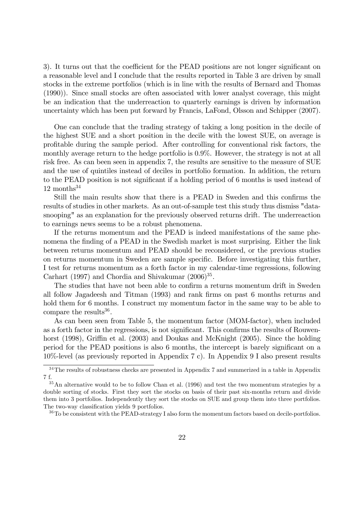3). It turns out that the coefficient for the PEAD positions are not longer significant on a reasonable level and I conclude that the results reported in Table 3 are driven by small stocks in the extreme portfolios (which is in line with the results of Bernard and Thomas (1990)). Since small stocks are often associated with lower analyst coverage, this might be an indication that the underreaction to quarterly earnings is driven by information uncertainty which has been put forward by Francis, LaFond, Olsson and Schipper (2007).

One can conclude that the trading strategy of taking a long position in the decile of the highest SUE and a short position in the decile with the lowest SUE, on average is profitable during the sample period. After controlling for conventional risk factors, the monthly average return to the hedge portfolio is 0.9%. However, the strategy is not at all risk free. As can been seen in appendix 7, the results are sensitive to the measure of SUE and the use of quintiles instead of deciles in portfolio formation. In addition, the return to the PEAD position is not significant if a holding period of 6 months is used instead of  $12$  months<sup>34</sup>

Still the main results show that there is a PEAD in Sweden and this confirms the results of studies in other markets. As an out-of-sample test this study thus dismiss "datasnooping" as an explanation for the previously observed returns drift. The underreaction to earnings news seems to be a robust phenomena.

If the returns momentum and the PEAD is indeed manifestations of the same phenomena the finding of a PEAD in the Swedish market is most surprising. Either the link between returns momentum and PEAD should be reconsidered, or the previous studies on returns momentum in Sweden are sample specific. Before investigating this further, I test for returns momentum as a forth factor in my calendar-time regressions, following Carhart (1997) and Chordia and Shivakumar  $(2006)^{35}$ .

The studies that have not been able to confirm a returns momentum drift in Sweden all follow Jagadeesh and Titman (1993) and rank Örms on past 6 months returns and hold them for 6 months. I construct my momentum factor in the same way to be able to compare the results<sup>36</sup>.

As can been seen from Table 5, the momentum factor (MOM-factor), when included as a forth factor in the regressions, is not significant. This confirms the results of Rouwenhorst  $(1998)$ , Griffin et al.  $(2003)$  and Doukas and McKnight  $(2005)$ . Since the holding period for the PEAD positions is also 6 months, the intercept is barely significant on a 10%-level (as previously reported in Appendix 7 c). In Appendix 9 I also present results

 $34$ The results of robustness checks are presented in Appendix 7 and summerized in a table in Appendix 7 f.

<sup>&</sup>lt;sup>35</sup>An alternative would to be to follow Chan et al. (1996) and test the two momentum strategies by a double sorting of stocks. First they sort the stocks on basis of their past six-months return and divide them into 3 portfolios. Independently they sort the stocks on SUE and group them into three portfolios. The two-way classification yields 9 portfolios.

<sup>&</sup>lt;sup>36</sup>To be consistent with the PEAD-strategy I also form the momentum factors based on decile-portfolios.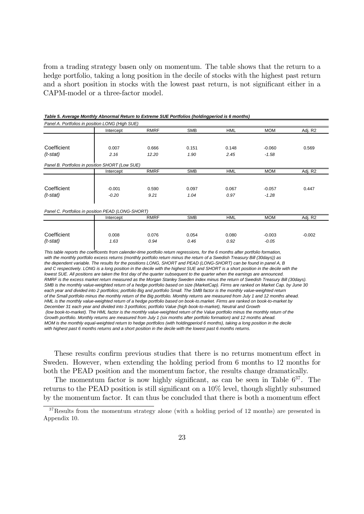from a trading strategy basen only on momentum. The table shows that the return to a hedge portfolio, taking a long position in the decile of stocks with the highest past return and a short position in stocks with the lowest past return, is not significant either in a CAPM-model or a three-factor model.

| Panel A. Portfolios in position LONG (High SUE)   |           |             |            |            |            |          |
|---------------------------------------------------|-----------|-------------|------------|------------|------------|----------|
|                                                   | Intercept | <b>RMRF</b> | <b>SMB</b> | <b>HML</b> | <b>MOM</b> | Adj. R2  |
|                                                   |           |             |            |            |            |          |
| Coefficient                                       | 0.007     | 0.666       | 0.151      | 0.148      | $-0.060$   | 0.569    |
| $(t$ -stat)                                       | 2.16      | 12.20       | 1.90       | 2.45       | $-1.58$    |          |
| Panel B. Portfolios in position SHORT (Low SUE)   |           |             |            |            |            |          |
|                                                   | Intercept | <b>RMRF</b> | <b>SMB</b> | <b>HML</b> | <b>MOM</b> | Adj. R2  |
|                                                   |           |             |            |            |            |          |
| Coefficient                                       | $-0.001$  | 0.590       | 0.097      | 0.067      | $-0.057$   | 0.447    |
| $(t$ -stat)                                       | $-0.20$   | 9.21        | 1.04       | 0.97       | $-1.28$    |          |
|                                                   |           |             |            |            |            |          |
| Panel C. Portfolios in position PEAD (LONG-SHORT) |           |             |            |            |            |          |
|                                                   | Intercept | <b>RMRF</b> | <b>SMB</b> | <b>HML</b> | <b>MOM</b> | Adj. R2  |
|                                                   |           |             |            |            |            |          |
| Coefficient                                       | 0.008     | 0.076       | 0.054      | 0.080      | $-0.003$   | $-0.002$ |
| $(t$ -stat)                                       | 1.63      | 0.94        | 0.46       | 0.92       | $-0.05$    |          |

*Table 5. Average Monthly Abnormal Return to Extreme SUE Portfolios (holdingperiod is 6 months)*

*This table reports the coefficents from calender-time portfolio return regressions, for the 6 months after portfolio formation, with the monthly portfolio excess returns (monthly portfolio return minus the return of a Swedish Treasury Bill (30days)) as the dependent variable. The results for the positions LONG, SHORT and PEAD (LONG-SHORT) can be found in panel A, B and C respectively. LONG is a long position in the decile with the highest SUE and SHORT is a short position in the decile with the lowest SUE. All positions are taken the first day of the quarter subsequent to the quarter when the earnings are announced. RMRF is the excess market return measured as the Morgan Stanley Sweden index minus the return of Swedish Treasury Bill (30days). SMB is the monthly value-weighted return of a hedge portfolio based on size (MarketCap). Firms are ranked on Market Cap. by June 30 each year and divided into 2 portfolios; portfolio Big and portfolio Small. The SMB factor is the monthly value-weighted return of the Small portfolio minus the monthly return of the Big portfolio. Monthly returns are measured from July 1 and 12 months ahead. HML is the monthly value-weighted return of a hedge portfolio based on book-to.market. Firms are ranked on book-to-market by December 31 each year and divided into 3 portfolios; portfolio Value (high book-to-market), Neutral and Growth (low book-to-market). The HML factor is the monthly value-weighted return of the Value portfolio minus the monthly return of the Growth portfolio. Monthly returns are measured from July 1 (six months after portfolio formation) and 12 months ahead. MOM is the monthly equal-weighted return to hedge portfolios (with holdingperiod 6 months), taking a long position in the decile with highest past 6 months returns and a short position in the decile with the lowest past 6 months returns.*

These results confirm previous studies that there is no returns momentum effect in Sweden. However, when extending the holding period from 6 months to 12 months for both the PEAD position and the momentum factor, the results change dramatically.

The momentum factor is now highly significant, as can be seen in Table  $6^{37}$ . The returns to the PEAD position is still significant on a  $10\%$  level, though slightly subsumed by the momentum factor. It can thus be concluded that there is both a momentum effect

 $37$ Results from the momentum strategy alone (with a holding period of 12 months) are presented in Appendix 10.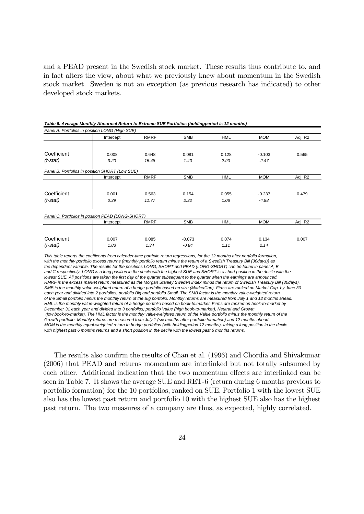and a PEAD present in the Swedish stock market. These results thus contribute to, and in fact alters the view, about what we previously knew about momentum in the Swedish stock market. Sweden is not an exception (as previous research has indicated) to other developed stock markets.

| Panel A. Portfolios in position LONG (High SUE)   |           |             |            |            |            |         |  |
|---------------------------------------------------|-----------|-------------|------------|------------|------------|---------|--|
|                                                   | Intercept | <b>RMRF</b> | <b>SMB</b> | <b>HML</b> | <b>MOM</b> | Adj. R2 |  |
|                                                   |           |             |            |            |            |         |  |
| Coefficient                                       | 0.008     | 0.648       | 0.081      | 0.128      | $-0.103$   | 0.565   |  |
| $(t$ -stat)                                       | 3.20      | 15.48       | 1.40       | 2.90       | $-2.47$    |         |  |
| Panel B. Portfolios in position SHORT (Low SUE)   |           |             |            |            |            |         |  |
|                                                   | Intercept | <b>RMRF</b> | <b>SMB</b> | HML        | <b>MOM</b> | Adj. R2 |  |
|                                                   |           |             |            |            |            |         |  |
| Coefficient                                       | 0.001     | 0.563       | 0.154      | 0.055      | $-0.237$   | 0.479   |  |
| $(t$ -stat)                                       | 0.39      | 11.77       | 2.32       | 1.08       | $-4.98$    |         |  |
|                                                   |           |             |            |            |            |         |  |
| Panel C. Portfolios in position PEAD (LONG-SHORT) |           |             |            |            |            |         |  |
|                                                   | Intercept | <b>RMRF</b> | <b>SMB</b> | <b>HML</b> | <b>MOM</b> | Adj. R2 |  |
|                                                   |           |             |            |            |            |         |  |
| Coefficient                                       | 0.007     | 0.085       | $-0.073$   | 0.074      | 0.134      | 0.007   |  |
| $(t$ -stat)                                       | 1.83      | 1.34        | $-0.84$    | 1.11       | 2.14       |         |  |

*Table 6. Average Monthly Abnormal Return to Extreme SUE Portfolios (holdingperiod is 12 months)*

*This table reports the coefficents from calender-time portfolio return regressions, for the 12 months after portfolio formation, with the monthly portfolio excess returns (monthly portfolio return minus the return of a Swedish Treasury Bill (30days)) as the dependent variable. The results for the positions LONG, SHORT and PEAD (LONG-SHORT) can be found in panel A, B and C respectively. LONG is a long position in the decile with the highest SUE and SHORT is a short position in the decile with the lowest SUE. All positions are taken the first day of the quarter subsequent to the quarter when the earnings are announced. RMRF is the excess market return measured as the Morgan Stanley Sweden index minus the return of Swedish Treasury Bill (30days). SMB is the monthly value-weighted return of a hedge portfolio based on size (MarketCap). Firms are ranked on Market Cap. by June 30 each year and divided into 2 portfolios; portfolio Big and portfolio Small. The SMB factor is the monthly value-weighted return of the Small portfolio minus the monthly return of the Big portfolio. Monthly returns are measured from July 1 and 12 months ahead. HML is the monthly value-weighted return of a hedge portfolio based on book-to.market. Firms are ranked on book-to-market by December 31 each year and divided into 3 portfolios; portfolio Value (high book-to-market), Neutral and Growth (low book-to-market). The HML factor is the monthly value-weighted return of the Value portfolio minus the monthly return of the Growth portfolio. Monthly returns are measured from July 1 (six months after portfolio formation) and 12 months ahead. MOM is the monthly equal-weighted return to hedge portfolios (with holdingperiod 12 months), taking a long position in the decile with highest past 6 months returns and a short position in the decile with the lowest past 6 months returns.*

The results also confirm the results of Chan et al. (1996) and Chordia and Shivakumar (2006) that PEAD and returns momentum are interlinked but not totally subsumed by each other. Additional indication that the two momentum effects are interlinked can be seen in Table 7. It shows the average SUE and RET-6 (return during 6 months previous to portfolio formation) for the 10 portfolios, ranked on SUE. Portfolio 1 with the lowest SUE also has the lowest past return and portfolio 10 with the highest SUE also has the highest past return. The two measures of a company are thus, as expected, highly correlated.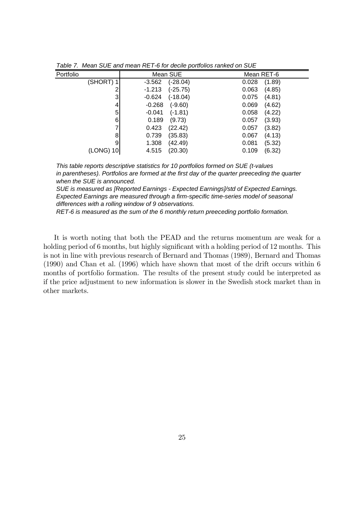| Portfolio | Mean SUE              | Mean RET-6      |
|-----------|-----------------------|-----------------|
| (SHORT) 1 | (-28.04)<br>$-3.562$  | (1.89)<br>0.028 |
| 2         | $-1.213$<br>(-25.75)  | 0.063<br>(4.85) |
| 3         | $-0.624$<br>(-18.04)  | 0.075<br>(4.81) |
| 4         | $(-9.60)$<br>$-0.268$ | 0.069<br>(4.62) |
| 5         | $(-1.81)$<br>$-0.041$ | 0.058<br>(4.22) |
| 6         | (9.73)<br>0.189       | (3.93)<br>0.057 |
| 7         | 0.423<br>(22.42)      | (3.82)<br>0.057 |
| 8         | 0.739<br>(35.83)      | (4.13)<br>0.067 |
| 9         | 1.308<br>(42.49)      | 0.081<br>(5.32) |
| (LONG) 10 | (20.30)<br>4.515      | (6.32)<br>0.109 |
|           |                       |                 |

*Table 7. Mean SUE and mean RET-6 for decile portfolios ranked on SUE*

*This table reports descriptive statistics for 10 portfolios formed on SUE (t-values in parentheses). Portfolios are formed at the first day of the quarter preeceding the quarter when the SUE is announced.*

*SUE is measured as [Reported Earnings - Expected Earnings]/std of Expected Earnings. Expected Earnings are measured through a firm-specific time-series model of seasonal differences with a rolling window of 9 observations.*

*RET-6 is measured as the sum of the 6 monthly return preeceding portfolio formation.*

It is worth noting that both the PEAD and the returns momentum are weak for a holding period of 6 months, but highly significant with a holding period of  $12$  months. This is not in line with previous research of Bernard and Thomas (1989), Bernard and Thomas (1990) and Chan et al. (1996) which have shown that most of the drift occurs within 6 months of portfolio formation. The results of the present study could be interpreted as if the price adjustment to new information is slower in the Swedish stock market than in other markets.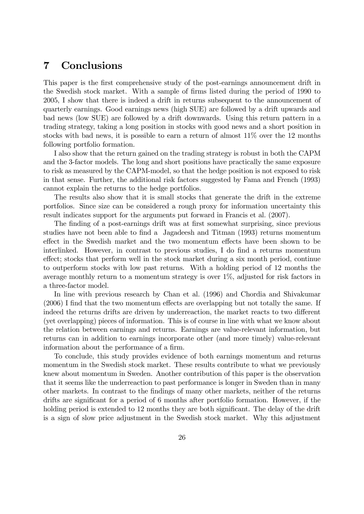## 7 Conclusions

This paper is the first comprehensive study of the post-earnings announcement drift in the Swedish stock market. With a sample of firms listed during the period of 1990 to 2005, I show that there is indeed a drift in returns subsequent to the announcement of quarterly earnings. Good earnings news (high SUE) are followed by a drift upwards and bad news (low SUE) are followed by a drift downwards. Using this return pattern in a trading strategy, taking a long position in stocks with good news and a short position in stocks with bad news, it is possible to earn a return of almost 11% over the 12 months following portfolio formation.

I also show that the return gained on the trading strategy is robust in both the CAPM and the 3-factor models. The long and short positions have practically the same exposure to risk as measured by the CAPM-model, so that the hedge position is not exposed to risk in that sense. Further, the additional risk factors suggested by Fama and French (1993) cannot explain the returns to the hedge portfolios.

The results also show that it is small stocks that generate the drift in the extreme portfolios. Since size can be considered a rough proxy for information uncertainty this result indicates support for the arguments put forward in Francis et al. (2007).

The finding of a post-earnings drift was at first somewhat surprising, since previous studies have not been able to Önd a Jagadeesh and Titman (1993) returns momentum effect in the Swedish market and the two momentum effects have been shown to be interlinked. However, in contrast to previous studies, I do find a returns momentum effect; stocks that perform well in the stock market during a six month period, continue to outperform stocks with low past returns. With a holding period of 12 months the average monthly return to a momentum strategy is over 1%, adjusted for risk factors in a three-factor model.

In line with previous research by Chan et al. (1996) and Chordia and Shivakumar  $(2006)$  I find that the two momentum effects are overlapping but not totally the same. If indeed the returns drifts are driven by underreaction, the market reacts to two different (yet overlapping) pieces of information. This is of course in line with what we know about the relation between earnings and returns. Earnings are value-relevant information, but returns can in addition to earnings incorporate other (and more timely) value-relevant information about the performance of a firm.

To conclude, this study provides evidence of both earnings momentum and returns momentum in the Swedish stock market. These results contribute to what we previously knew about momentum in Sweden. Another contribution of this paper is the observation that it seems like the underreaction to past performance is longer in Sweden than in many other markets. In contrast to the Öndings of many other markets, neither of the returns drifts are significant for a period of 6 months after portfolio formation. However, if the holding period is extended to 12 months they are both significant. The delay of the drift is a sign of slow price adjustment in the Swedish stock market. Why this adjustment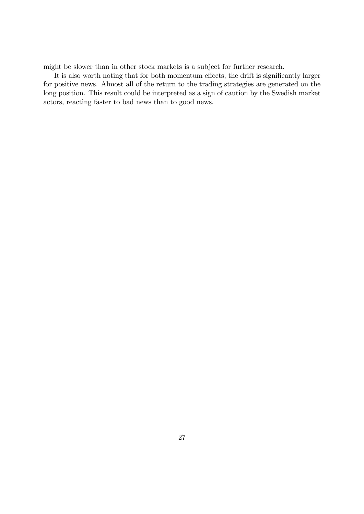might be slower than in other stock markets is a subject for further research.

It is also worth noting that for both momentum effects, the drift is significantly larger for positive news. Almost all of the return to the trading strategies are generated on the long position. This result could be interpreted as a sign of caution by the Swedish market actors, reacting faster to bad news than to good news.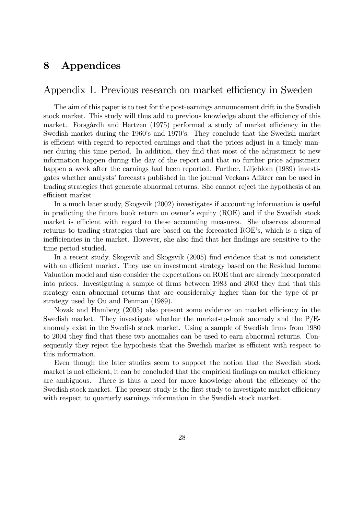## 8 Appendices

### Appendix 1. Previous research on market efficiency in Sweden

The aim of this paper is to test for the post-earnings announcement drift in the Swedish stock market. This study will thus add to previous knowledge about the efficiency of this market. Forsgårdh and Hertzen  $(1975)$  performed a study of market efficiency in the Swedish market during the 1960's and 1970's. They conclude that the Swedish market is efficient with regard to reported earnings and that the prices adjust in a timely manner during this time period. In addition, they find that most of the adjustment to new information happen during the day of the report and that no further price adjustment happen a week after the earnings had been reported. Further, Liljeblom (1989) investigates whether analysts' forecasts published in the journal Veckans Affärer can be used in trading strategies that generate abnormal returns. She cannot reject the hypothesis of an efficient market

In a much later study, Skogsvik (2002) investigates if accounting information is useful in predicting the future book return on ownerís equity (ROE) and if the Swedish stock market is efficient with regard to these accounting measures. She observes abnormal returns to trading strategies that are based on the forecasted ROE's, which is a sign of inefficiencies in the market. However, she also find that her findings are sensitive to the time period studied.

In a recent study, Skogsvik and Skogsvik (2005) find evidence that is not consistent with an efficient market. They use an investment strategy based on the Residual Income Valuation model and also consider the expectations on ROE that are already incorporated into prices. Investigating a sample of firms between 1983 and 2003 they find that this strategy earn abnormal returns that are considerably higher than for the type of prstrategy used by Ou and Penman (1989).

Novak and Hamberg (2005) also present some evidence on market efficiency in the Swedish market. They investigate whether the market-to-book anomaly and the  $P/E$ anomaly exist in the Swedish stock market. Using a sample of Swedish firms from 1980 to 2004 they find that these two anomalies can be used to earn abnormal returns. Consequently they reject the hypothesis that the Swedish market is efficient with respect to this information.

Even though the later studies seem to support the notion that the Swedish stock market is not efficient, it can be concluded that the empirical findings on market efficiency are ambiguous. There is thus a need for more knowledge about the efficiency of the Swedish stock market. The present study is the first study to investigate market efficiency with respect to quarterly earnings information in the Swedish stock market.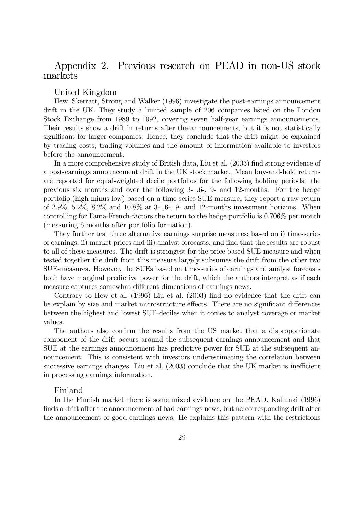### Appendix 2. Previous research on PEAD in non-US stock markets

### United Kingdom

Hew, Skerratt, Strong and Walker (1996) investigate the post-earnings announcement drift in the UK. They study a limited sample of 206 companies listed on the London Stock Exchange from 1989 to 1992, covering seven half-year earnings announcements. Their results show a drift in returns after the announcements, but it is not statistically significant for larger companies. Hence, they conclude that the drift might be explained by trading costs, trading volumes and the amount of information available to investors before the announcement.

In a more comprehensive study of British data, Liu et al. (2003) find strong evidence of a post-earnings announcement drift in the UK stock market. Mean buy-and-hold returns are reported for equal-weighted decile portfolios for the following holding periods: the previous six months and over the following 3- ,6-, 9- and 12-months. For the hedge portfolio (high minus low) based on a time-series SUE-measure, they report a raw return of  $2.9\%, 5.2\%, 8.2\%$  and  $10.8\%$  at 3-, 6-, 9- and 12-months investment horizons. When controlling for Fama-French-factors the return to the hedge portfolio is 0.706% per month (measuring 6 months after portfolio formation).

They further test three alternative earnings surprise measures; based on i) time-series of earnings, ii) market prices and iii) analyst forecasts, and Önd that the results are robust to all of these measures. The drift is strongest for the price based SUE-measure and when tested together the drift from this measure largely subsumes the drift from the other two SUE-measures. However, the SUEs based on time-series of earnings and analyst forecasts both have marginal predictive power for the drift, which the authors interpret as if each measure captures somewhat different dimensions of earnings news.

Contrary to Hew et al.  $(1996)$  Liu et al.  $(2003)$  find no evidence that the drift can be explain by size and market microstructure effects. There are no significant differences between the highest and lowest SUE-deciles when it comes to analyst coverage or market values.

The authors also confirm the results from the US market that a disproportionate component of the drift occurs around the subsequent earnings announcement and that SUE at the earnings announcement has predictive power for SUE at the subsequent announcement. This is consistent with investors underestimating the correlation between successive earnings changes. Liu et al.  $(2003)$  conclude that the UK market is inefficient in processing earnings information.

### Finland

In the Finnish market there is some mixed evidence on the PEAD. Kallunki (1996) finds a drift after the announcement of bad earnings news, but no corresponding drift after the announcement of good earnings news. He explains this pattern with the restrictions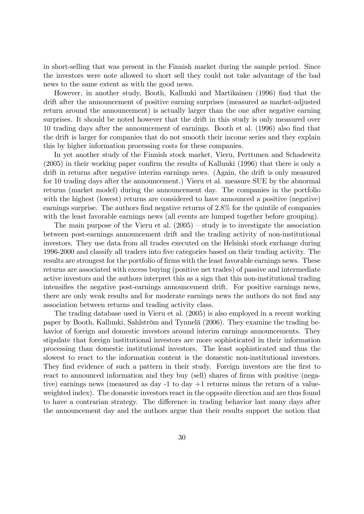in short-selling that was present in the Finnish market during the sample period. Since the investors were note allowed to short sell they could not take advantage of the bad news to the same extent as with the good news.

However, in another study, Booth, Kallunki and Martikainen (1996) find that the drift after the announcement of positive earning surprises (measured as market-adjusted return around the announcement) is actually larger than the one after negative earning surprises. It should be noted however that the drift in this study is only measured over 10 trading days after the announcement of earnings. Booth et al. (1996) also find that the drift is larger for companies that do not smooth their income series and they explain this by higher information processing costs for these companies.

In yet another study of the Finnish stock market, Vieru, Perttunen and Schadewitz  $(2005)$  in their working paper confirm the results of Kallunki  $(1996)$  that there is only a drift in returns after negative interim earnings news. (Again, the drift is only measured for 10 trading days after the announcement.) Vieru et al. measure SUE by the abnormal returns (market model) during the announcement day. The companies in the portfolio with the highest (lowest) returns are considered to have announced a positive (negative) earnings surprise. The authors find negative returns of  $2.8\%$  for the quintile of companies with the least favorable earnings news (all events are lumped together before grouping).

The main purpose of the Vieru et al.  $(2005)$  – study is to investigate the association between post-earnings announcement drift and the trading activity of non-institutional investors. They use data from all trades executed on the Helsinki stock exchange during 1996-2000 and classify all traders into Öve categories based on their trading activity. The results are strongest for the portfolio of firms with the least favorable earnings news. These returns are associated with excess buying (positive net trades) of passive and intermediate active investors and the authors interpret this as a sign that this non-institutional trading intensifies the negative post-earnings announcement drift. For positive earnings news, there are only weak results and for moderate earnings news the authors do not find any association between returns and trading activity class.

The trading database used in Vieru et al. (2005) is also employed in a recent working paper by Booth, Kallunki, Sahlström and Tynnelä (2006). They examine the trading behavior of foreign and domestic investors around interim earnings announcements. They stipulate that foreign institutional investors are more sophisticated in their information processing than domestic institutional investors. The least sophisticated and thus the slowest to react to the information content is the domestic non-institutional investors. They find evidence of such a pattern in their study. Foreign investors are the first to react to announced information and they buy (sell) shares of firms with positive (negative) earnings news (measured as day -1 to day +1 returns minus the return of a valueweighted index). The domestic investors react in the opposite direction and are thus found to have a contrarian strategy. The difference in trading behavior last many days after the announcement day and the authors argue that their results support the notion that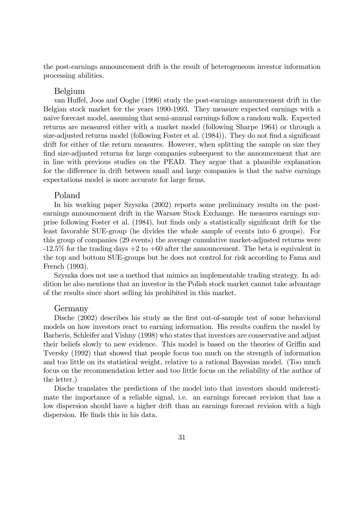the post-earnings announcement drift is the result of heterogeneous investor information processing abilities.

#### Belgium

van Huffel, Joos and Ooghe (1996) study the post-earnings announcement drift in the Belgian stock market for the years 1990-1993. They measure expected earnings with a naive forecast model, assuming that semi-annual earnings follow a random walk. Expected returns are measured either with a market model (following Sharpe 1964) or through a size-adjusted returns model (following Foster et al. (1984)). They do not find a significant drift for either of the return measures. However, when splitting the sample on size they find size-adjusted returns for large companies subsequent to the announcement that are in line with previous studies on the PEAD. They argue that a plausible explanation for the difference in drift between small and large companies is that the naïve earnings expectations model is more accurate for large firms.

#### Poland

In his working paper Szyszka (2002) reports some preliminary results on the postearnings announcement drift in the Warsaw Stock Exchange. He measures earnings surprise following Foster et al. (1984), but finds only a statistically significant drift for the least favorable SUE-group (he divides the whole sample of events into 6 groups). For this group of companies (29 events) the average cumulative market-adjusted returns were  $-12.5\%$  for the trading days  $+2$  to  $+60$  after the announcement. The beta is equivalent in the top and bottom SUE-groups but he does not control for risk according to Fama and French (1993).

Szyszka does not use a method that mimics an implementable trading strategy. In addition he also mentions that an investor in the Polish stock market cannot take advantage of the results since short selling his prohibited in this market.

#### Germany

Dische (2002) describes his study as the first out-of-sample test of some behavioral models on how investors react to earning information. His results confirm the model by Barberis, Schleifer and Vishny (1998) who states that investors are conservative and adjust their beliefs slowly to new evidence. This model is based on the theories of Griffin and Tversky (1992) that showed that people focus too much on the strength of information and too little on its statistical weight, relative to a rational Bayesian model. (Too much focus on the recommendation letter and too little focus on the reliability of the author of the letter.)

Dische translates the predictions of the model into that investors should underestimate the importance of a reliable signal, i.e. an earnings forecast revision that has a low dispersion should have a higher drift than an earnings forecast revision with a high dispersion. He finds this in his data.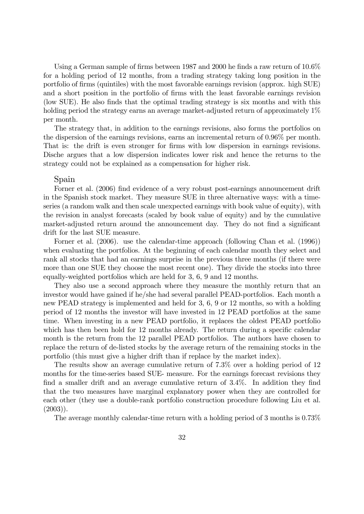Using a German sample of firms between 1987 and 2000 he finds a raw return of  $10.6\%$ for a holding period of 12 months, from a trading strategy taking long position in the portfolio of Örms (quintiles) with the most favorable earnings revision (approx. high SUE) and a short position in the portfolio of firms with the least favorable earnings revision (low SUE). He also Önds that the optimal trading strategy is six months and with this holding period the strategy earns an average market-adjusted return of approximately  $1\%$ per month.

The strategy that, in addition to the earnings revisions, also forms the portfolios on the dispersion of the earnings revisions, earns an incremental return of 0.96% per month. That is: the drift is even stronger for firms with low dispersion in earnings revisions. Dische argues that a low dispersion indicates lower risk and hence the returns to the strategy could not be explained as a compensation for higher risk.

#### Spain

Forner et al. (2006) find evidence of a very robust post-earnings announcement drift in the Spanish stock market. They measure SUE in three alternative ways: with a timeseries (a random walk and then scale unexpected earnings with book value of equity), with the revision in analyst forecasts (scaled by book value of equity) and by the cumulative market-adjusted return around the announcement day. They do not find a significant drift for the last SUE measure.

Forner et al. (2006). use the calendar-time approach (following Chan et al. (1996)) when evaluating the portfolios. At the beginning of each calendar month they select and rank all stocks that had an earnings surprise in the previous three months (if there were more than one SUE they choose the most recent one). They divide the stocks into three equally-weighted portfolios which are held for 3, 6, 9 and 12 months.

They also use a second approach where they measure the monthly return that an investor would have gained if he/she had several parallel PEAD-portfolios. Each month a new PEAD strategy is implemented and held for 3, 6, 9 or 12 months, so with a holding period of 12 months the investor will have invested in 12 PEAD portfolios at the same time. When investing in a new PEAD portfolio, it replaces the oldest PEAD portfolio which has then been hold for 12 months already. The return during a specific calendar month is the return from the 12 parallel PEAD portfolios. The authors have chosen to replace the return of de-listed stocks by the average return of the remaining stocks in the portfolio (this must give a higher drift than if replace by the market index).

The results show an average cumulative return of 7.3% over a holding period of 12 months for the time-series based SUE- measure. For the earnings forecast revisions they find a smaller drift and an average cumulative return of  $3.4\%$ . In addition they find that the two measures have marginal explanatory power when they are controlled for each other (they use a double-rank portfolio construction procedure following Liu et al.  $(2003)$ ).

The average monthly calendar-time return with a holding period of 3 months is 0.73%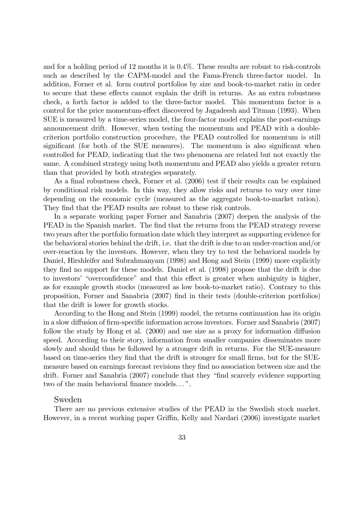and for a holding period of 12 months it is 0.4%. These results are robust to risk-controls such as described by the CAPM-model and the Fama-French three-factor model. In addition, Forner et al. form control portfolios by size and book-to-market ratio in order to secure that these effects cannot explain the drift in returns. As an extra robustness check, a forth factor is added to the three-factor model. This momentum factor is a control for the price momentum-effect discovered by Jagadeesh and Titman (1993). When SUE is measured by a time-series model, the four-factor model explains the post-earnings announcement drift. However, when testing the momentum and PEAD with a doublecriterion portfolio construction procedure, the PEAD controlled for momentum is still significant (for both of the SUE measures). The momentum is also significant when controlled for PEAD, indicating that the two phenomena are related but not exactly the same. A combined strategy using both momentum and PEAD also yields a greater return than that provided by both strategies separately.

As a final robustness check, Forner et al. (2006) test if their results can be explained by conditional risk models. In this way, they allow risks and returns to vary over time depending on the economic cycle (measured as the aggregate book-to-market ration). They find that the PEAD results are robust to these risk controls.

In a separate working paper Forner and Sanabria (2007) deepen the analysis of the PEAD in the Spanish market. The find that the returns from the PEAD strategy reverse two years after the portfolio formation date which they interpret as supporting evidence for the behavioral stories behind the drift, i.e. that the drift is due to an under-reaction and/or over-reaction by the investors. However, when they try to test the behavioral models by Daniel, Hirshleifer and Subrahmanyam (1998) and Hong and Stein (1999) more explicitly they find no support for these models. Daniel et al. (1998) propose that the drift is due to investors' "overconfidence" and that this effect is greater when ambiguity is higher, as for example growth stocks (measured as low book-to-market ratio). Contrary to this proposition, Forner and Sanabria (2007) Önd in their tests (double-criterion portfolios) that the drift is lower for growth stocks.

According to the Hong and Stein (1999) model, the returns continuation has its origin in a slow diffusion of firm-specific information across investors. Forner and Sanabria (2007) follow the study by Hong et al.  $(2000)$  and use size as a proxy for information diffusion speed. According to their story, information from smaller companies disseminates more slowly and should thus be followed by a stronger drift in returns. For the SUE-measure based on time-series they find that the drift is stronger for small firms, but for the SUEmeasure based on earnings forecast revisions they Önd no association between size and the drift. Forner and Sanabria (2007) conclude that they "find scarcely evidence supporting two of the main behavioral finance models...".

### Sweden

There are no previous extensive studies of the PEAD in the Swedish stock market. However, in a recent working paper Griffin, Kelly and Nardari (2006) investigate market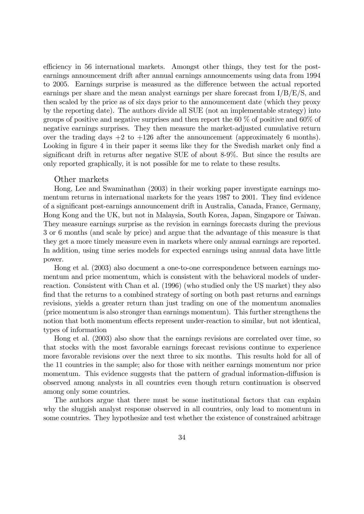efficiency in 56 international markets. Amongst other things, they test for the postearnings announcement drift after annual earnings announcements using data from 1994 to 2005. Earnings surprise is measured as the difference between the actual reported earnings per share and the mean analyst earnings per share forecast from  $I/B/E/S$ , and then scaled by the price as of six days prior to the announcement date (which they proxy by the reporting date). The authors divide all SUE (not an implementable strategy) into groups of positive and negative surprises and then report the 60 % of positive and 60% of negative earnings surprises. They then measure the market-adjusted cumulative return over the trading days  $+2$  to  $+126$  after the announcement (approximately 6 months). Looking in figure 4 in their paper it seems like they for the Swedish market only find a significant drift in returns after negative SUE of about  $8-9\%$ . But since the results are only reported graphically, it is not possible for me to relate to these results.

#### Other markets

Hong, Lee and Swaminathan (2003) in their working paper investigate earnings momentum returns in international markets for the years 1987 to 2001. They find evidence of a signiÖcant post-earnings announcement drift in Australia, Canada, France, Germany, Hong Kong and the UK, but not in Malaysia, South Korea, Japan, Singapore or Taiwan. They measure earnings surprise as the revision in earnings forecasts during the previous 3 or 6 months (and scale by price) and argue that the advantage of this measure is that they get a more timely measure even in markets where only annual earnings are reported. In addition, using time series models for expected earnings using annual data have little power.

Hong et al. (2003) also document a one-to-one correspondence between earnings momentum and price momentum, which is consistent with the behavioral models of underreaction. Consistent with Chan et al. (1996) (who studied only the US market) they also find that the returns to a combined strategy of sorting on both past returns and earnings revisions, yields a greater return than just trading on one of the momentum anomalies (price momentum is also stronger than earnings momentum). This further strengthens the notion that both momentum effects represent under-reaction to similar, but not identical, types of information

Hong et al. (2003) also show that the earnings revisions are correlated over time, so that stocks with the most favorable earnings forecast revisions continue to experience more favorable revisions over the next three to six months. This results hold for all of the 11 countries in the sample; also for those with neither earnings momentum nor price momentum. This evidence suggests that the pattern of gradual information-diffusion is observed among analysts in all countries even though return continuation is observed among only some countries.

The authors argue that there must be some institutional factors that can explain why the sluggish analyst response observed in all countries, only lead to momentum in some countries. They hypothesize and test whether the existence of constrained arbitrage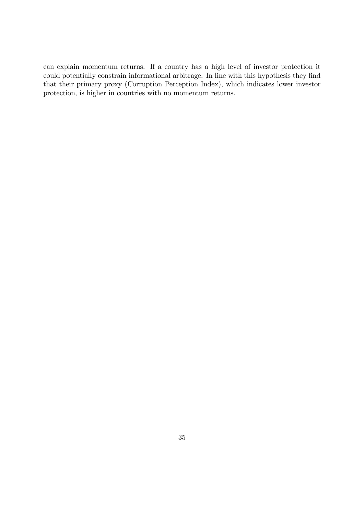can explain momentum returns. If a country has a high level of investor protection it could potentially constrain informational arbitrage. In line with this hypothesis they find that their primary proxy (Corruption Perception Index), which indicates lower investor protection, is higher in countries with no momentum returns.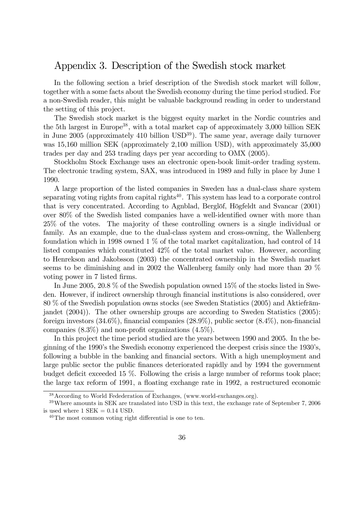### Appendix 3. Description of the Swedish stock market

In the following section a brief description of the Swedish stock market will follow, together with a some facts about the Swedish economy during the time period studied. For a non-Swedish reader, this might be valuable background reading in order to understand the setting of this project.

The Swedish stock market is the biggest equity market in the Nordic countries and the 5th largest in Europe<sup>38</sup>, with a total market cap of approximately  $3,000$  billion SEK in June 2005 (approximately 410 billion  $\text{USD}^{39}$ ). The same year, average daily turnover was 15,160 million SEK (approximately 2,100 million USD), with approximately 35,000 trades per day and 253 trading days per year according to OMX (2005).

Stockholm Stock Exchange uses an electronic open-book limit-order trading system. The electronic trading system, SAX, was introduced in 1989 and fully in place by June 1 1990.

A large proportion of the listed companies in Sweden has a dual-class share system separating voting rights from capital rights<sup>40</sup>. This system has lead to a corporate control that is very concentrated. According to Agnblad, Berglöf, Högfeldt and Svancar (2001) over  $80\%$  of the Swedish listed companies have a well-identified owner with more than 25% of the votes. The majority of these controlling owners is a single individual or family. As an example, due to the dual-class system and cross-owning, the Wallenberg foundation which in 1998 owned 1 % of the total market capitalization, had control of 14 listed companies which constituted 42% of the total market value. However, according to Henrekson and Jakobsson (2003) the concentrated ownership in the Swedish market seems to be diminishing and in 2002 the Wallenberg family only had more than 20 % voting power in 7 listed firms.

In June 2005, 20.8 % of the Swedish population owned 15% of the stocks listed in Sweden. However, if indirect ownership through financial institutions is also considered, over  $80\%$  of the Swedish population owns stocks (see Sweden Statistics (2005) and Aktiefrämjandet (2004)). The other ownership groups are according to Sweden Statistics (2005): foreign investors  $(34.6\%)$ , financial companies  $(28.9\%)$ , public sector  $(8.4\%)$ , non-financial companies  $(8.3\%)$  and non-profit organizations  $(4.5\%)$ .

In this project the time period studied are the years between 1990 and 2005. In the beginning of the 1990's the Swedish economy experienced the deepest crisis since the 1930's, following a bubble in the banking and financial sectors. With a high unemployment and large public sector the public finances deteriorated rapidly and by 1994 the government budget deficit exceeded 15  $\%$ . Following the crisis a large number of reforms took place; the large tax reform of 1991, a floating exchange rate in 1992, a restructured economic

<sup>38</sup>According to World Fedederation of Exchanges, (www.world-exchanges.org).

<sup>&</sup>lt;sup>39</sup>Where amounts in SEK are translated into USD in this text, the exchange rate of September 7, 2006 is used where  $1$  SEK  $= 0.14$  USD.

 $40$ The most common voting right differential is one to ten.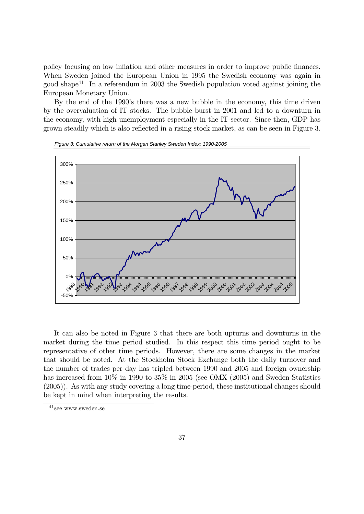policy focusing on low ináation and other measures in order to improve public Önances. When Sweden joined the European Union in 1995 the Swedish economy was again in good shape<sup>41</sup>. In a referendum in 2003 the Swedish population voted against joining the European Monetary Union.

By the end of the 1990's there was a new bubble in the economy, this time driven by the overvaluation of IT stocks. The bubble burst in 2001 and led to a downturn in the economy, with high unemployment especially in the IT-sector. Since then, GDP has grown steadily which is also reflected in a rising stock market, as can be seen in Figure 3.



*Figure 3: Cumulative return of the Morgan Stanley Sweden Index: 1990-2005*

It can also be noted in Figure 3 that there are both upturns and downturns in the market during the time period studied. In this respect this time period ought to be representative of other time periods. However, there are some changes in the market that should be noted. At the Stockholm Stock Exchange both the daily turnover and the number of trades per day has tripled between 1990 and 2005 and foreign ownership has increased from  $10\%$  in 1990 to 35% in 2005 (see OMX (2005) and Sweden Statistics (2005)). As with any study covering a long time-period, these institutional changes should be kept in mind when interpreting the results.

<sup>41</sup> see www.sweden.se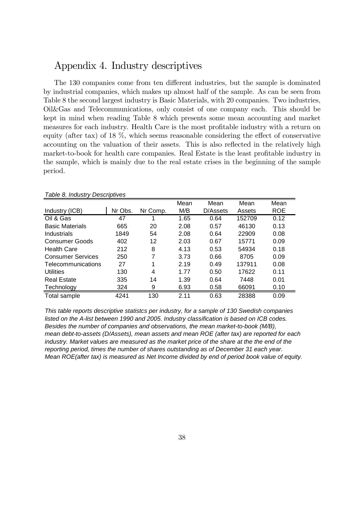### Appendix 4. Industry descriptives

The 130 companies come from ten different industries, but the sample is dominated by industrial companies, which makes up almost half of the sample. As can be seen from Table 8 the second largest industry is Basic Materials, with 20 companies. Two industries, Oil&Gas and Telecommunications, only consist of one company each. This should be kept in mind when reading Table 8 which presents some mean accounting and market measures for each industry. Health Care is the most profitable industry with a return on equity (after tax) of 18  $\%$ , which seems reasonable considering the effect of conservative accounting on the valuation of their assets. This is also reflected in the relatively high market-to-book for health care companies. Real Estate is the least profitable industry in the sample, which is mainly due to the real estate crises in the beginning of the sample period.

| , adio of madou y<br>------------ |         |          |      |          |        |            |  |
|-----------------------------------|---------|----------|------|----------|--------|------------|--|
|                                   |         |          | Mean | Mean     | Mean   | Mean       |  |
| Industry (ICB)                    | Nr Obs. | Nr Comp. | M/B  | D/Assets | Assets | <b>ROE</b> |  |
| Oil & Gas                         | 47      |          | 1.65 | 0.64     | 152709 | 0.12       |  |
| <b>Basic Materials</b>            | 665     | 20       | 2.08 | 0.57     | 46130  | 0.13       |  |
| Industrials                       | 1849    | 54       | 2.08 | 0.64     | 22909  | 0.08       |  |
| Consumer Goods                    | 402     | 12       | 2.03 | 0.67     | 15771  | 0.09       |  |
| <b>Health Care</b>                | 212     | 8        | 4.13 | 0.53     | 54934  | 0.18       |  |
| <b>Consumer Services</b>          | 250     | 7        | 3.73 | 0.66     | 8705   | 0.09       |  |
| Telecommunications                | 27      | 1        | 2.19 | 0.49     | 137911 | 0.08       |  |
| <b>Utilities</b>                  | 130     | 4        | 1.77 | 0.50     | 17622  | 0.11       |  |
| <b>Real Estate</b>                | 335     | 14       | 1.39 | 0.64     | 7448   | 0.01       |  |
| Technology                        | 324     | 9        | 6.93 | 0.58     | 66091  | 0.10       |  |
| Total sample                      | 4241    | 130      | 2.11 | 0.63     | 28388  | 0.09       |  |

*Table 8. Industry Descriptives*

*This table reports descriptive statistcs per industry, for a sample of 130 Swedish companies listed on the A-list between 1990 and 2005. Industry classification is based on ICB codes. Besides the number of companies and observations, the mean market-to-book (M/B), mean debt-to-assets (D/Assets), mean assets and mean ROE (after tax) are reported for each industry. Market values are measured as the market price of the share at the the end of the reporting period, times the number of shares outstanding as of December 31 each year. Mean ROE(after tax) is measured as Net Income divided by end of period book value of equity.*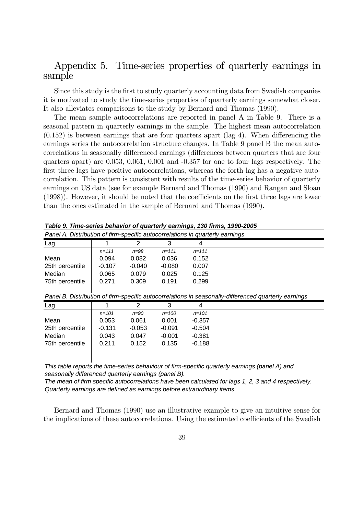## Appendix 5. Time-series properties of quarterly earnings in sample

Since this study is the first to study quarterly accounting data from Swedish companies it is motivated to study the time-series properties of quarterly earnings somewhat closer. It also alleviates comparisons to the study by Bernard and Thomas (1990).

The mean sample autocorrelations are reported in panel A in Table 9. There is a seasonal pattern in quarterly earnings in the sample. The highest mean autocorrelation  $(0.152)$  is between earnings that are four quarters apart (lag 4). When differencing the earnings series the autocorrelation structure changes. In Table 9 panel B the mean autocorrelations in seasonally differenced earnings (differences between quarters that are four quarters apart) are 0.053, 0.061, 0.001 and -0.357 for one to four lags respectively. The first three lags have positive autocorrelations, whereas the forth lag has a negative autocorrelation. This pattern is consistent with results of the time-series behavior of quarterly earnings on US data (see for example Bernard and Thomas (1990) and Rangan and Sloan  $(1998)$ . However, it should be noted that the coefficients on the first three lags are lower than the ones estimated in the sample of Bernard and Thomas (1990).

| Panel A. Distribution of firm-specific autocorrelations in quarterly earnings |           |          |           |           |  |
|-------------------------------------------------------------------------------|-----------|----------|-----------|-----------|--|
| <u>Lag</u>                                                                    |           |          |           |           |  |
|                                                                               | $n = 111$ | $n = 98$ | $n = 111$ | $n = 111$ |  |
| Mean                                                                          | 0.094     | 0.082    | 0.036     | 0.152     |  |
| 25th percentile                                                               | $-0.107$  | $-0.040$ | $-0.080$  | 0.007     |  |
| Median                                                                        | 0.065     | 0.079    | 0.025     | 0.125     |  |
| 75th percentile                                                               | 0.271     | 0.309    | 0.191     | 0.299     |  |
|                                                                               |           |          |           |           |  |

*Table 9. Time-series behavior of quarterly earnings, 130 firms, 1990-2005*

*Panel B. Distribution of firm-specific autocorrelations in seasonally-differenced quarterly earnings*

| Lag             |           | າ        | 3         | 4         |  |
|-----------------|-----------|----------|-----------|-----------|--|
|                 | $n = 101$ | $n=90$   | $n = 100$ | $n = 101$ |  |
| Mean            | 0.053     | 0.061    | 0.001     | $-0.357$  |  |
| 25th percentile | $-0.131$  | $-0.053$ | $-0.091$  | $-0.504$  |  |
| Median          | 0.043     | 0.047    | $-0.001$  | $-0.381$  |  |
| 75th percentile | 0.211     | 0.152    | 0.135     | $-0.188$  |  |
|                 |           |          |           |           |  |
|                 |           |          |           |           |  |

*This table reports the time-series behaviour of firm-specific quarterly earnings (panel A) and seasonally differenced quarterly earnings (panel B).*

*The mean of firm specific autocorrelations have been calculated for lags 1, 2, 3 and 4 respectively. Quarterly earnings are defined as earnings before extraordinary items.*

Bernard and Thomas (1990) use an illustrative example to give an intuitive sense for the implications of these autocorrelations. Using the estimated coefficients of the Swedish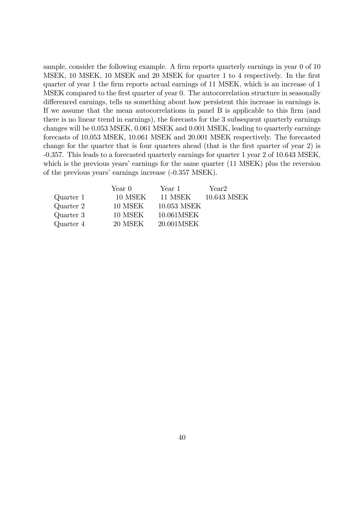sample, consider the following example. A firm reports quarterly earnings in year 0 of 10 MSEK, 10 MSEK, 10 MSEK and 20 MSEK for quarter 1 to 4 respectively. In the first quarter of year 1 the firm reports actual earnings of 11 MSEK, which is an increase of 1 MSEK compared to the first quarter of year 0. The autocorrelation structure in seasonally differenced earnings, tells us something about how persistent this increase in earnings is. If we assume that the mean autocorrelations in panel B is applicable to this Örm (and there is no linear trend in earnings), the forecasts for the 3 subsequent quarterly earnings changes will be 0.053 MSEK, 0.061 MSEK and 0.001 MSEK, leading to quarterly earnings forecasts of 10.053 MSEK, 10.061 MSEK and 20.001 MSEK respectively. The forecasted change for the quarter that is four quarters ahead (that is the first quarter of year 2) is -0.357. This leads to a forecasted quarterly earnings for quarter 1 year 2 of 10.643 MSEK, which is the previous years' earnings for the same quarter  $(11 \text{ MSEK})$  plus the reversion of the previous years' earnings increase (-0.357 MSEK).

|           | Year 0  | Year 1      | Year <sub>2</sub> |
|-----------|---------|-------------|-------------------|
| Quarter 1 | 10 MSEK | 11 MSEK     | 10.643 MSEK       |
| Quarter 2 | 10 MSEK | 10.053 MSEK |                   |
| Quarter 3 | 10 MSEK | 10.061MSEK  |                   |
| Quarter 4 | 20 MSEK | 20.001MSEK  |                   |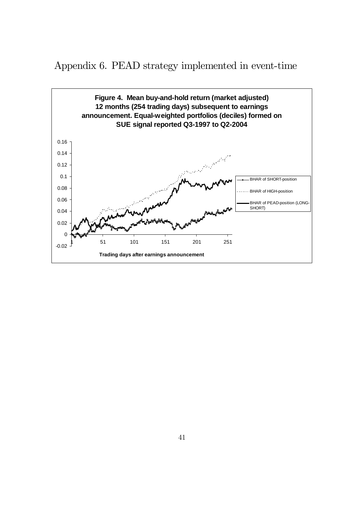Appendix 6. PEAD strategy implemented in event-time

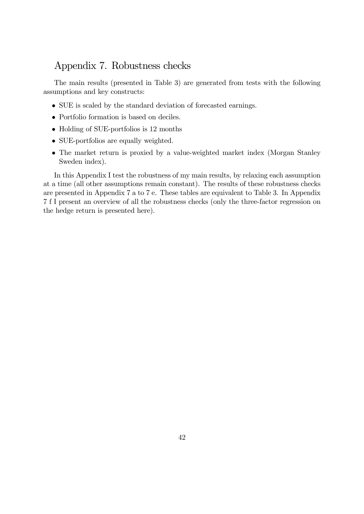## Appendix 7. Robustness checks

The main results (presented in Table 3) are generated from tests with the following assumptions and key constructs:

- SUE is scaled by the standard deviation of forecasted earnings.
- Portfolio formation is based on deciles.
- Holding of SUE-portfolios is 12 months
- SUE-portfolios are equally weighted.
- The market return is proxied by a value-weighted market index (Morgan Stanley Sweden index).

In this Appendix I test the robustness of my main results, by relaxing each assumption at a time (all other assumptions remain constant). The results of these robustness checks are presented in Appendix 7 a to 7 e. These tables are equivalent to Table 3. In Appendix 7 f I present an overview of all the robustness checks (only the three-factor regression on the hedge return is presented here).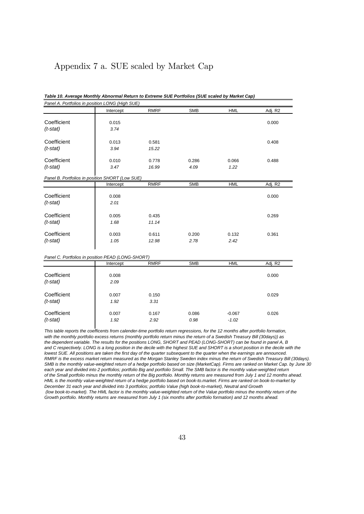### Appendix 7 a. SUE scaled by Market Cap

| Table 10. Average Monthly Abnormal Return to Extreme SUE Portfolios (SUE scaled by Market Cap) |  |
|------------------------------------------------------------------------------------------------|--|
| Panel A. Portfolios in position LONG (High SUE)                                                |  |

Intercept RMRF SMB HML Adj. R2 **Coefficient 1** 0.015 0.000 *(t-stat) 3.74* **Coefficient 1** 0.013 0.581 0.408 *(t-stat) 3.94 15.22* Coefficient 0.010 0.778 0.286 0.066 0.488 *(t-stat) 3.47 16.99 4.09 1.22 Panel B. Portfolios in position SHORT (Low SUE)* Intercept RMRF SMB HML Adj. R2 Coefficient 1 0.008 0.000 0.000 0.000 0.000 0.000 0.000 0.000 0.000 0.000 0.000 0.000 0.000 0.000 0.000 0.000 0 *(t-stat) 2.01* Coefficient 1 0.005 0.435 0.269 *(t-stat) 1.68 11.14* Coefficient 0.003 0.611 0.200 0.132 0.361 *(t-stat) 1.05 12.98 2.78 2.42 Panel C. Portfolios in position PEAD (LONG-SHORT)* Intercept RMRF SMB HML Adj. R2 **Coefficient 1** 0.008 0.000 *(t-stat) 2.09* **Coefficient 1** 0.007 0.150 0.029 *(t-stat) 1.92 3.31* Coefficient 0.007 0.167 0.086 -0.067 0.026 *(t-stat) 1.92 2.92 0.98 -1.02*

*This table reports the coefficents from calender-time portfolio return regressions, for the 12 months after portfolio formation, with the monthly portfolio excess returns (monthly portfolio return minus the return of a Swedish Treasury Bill (30days)) as the dependent variable. The results for the positions LONG, SHORT and PEAD (LONG-SHORT) can be found in panel A, B and C respectively. LONG is a long position in the decile with the highest SUE and SHORT is a short position in the decile with the lowest SUE. All positions are taken the first day of the quarter subsequent to the quarter when the earnings are announced. RMRF is the excess market return measured as the Morgan Stanley Sweden index minus the return of Swedish Treasury Bill (30days). SMB is the monthly value-weighted return of a hedge portfolio based on size (MarketCap). Firms are ranked on Market Cap. by June 30 each year and divided into 2 portfolios; portfolio Big and portfolio Small. The SMB factor is the monthly value-weighted return of the Small portfolio minus the monthly return of the Big portfolio. Monthly returns are measured from July 1 and 12 months ahead. HML is the monthly value-weighted return of a hedge portfolio based on book-to.market. Firms are ranked on book-to-market by December 31 each year and divided into 3 portfolios; portfolio Value (high book-to-market), Neutral and Growth (low book-to-market). The HML factor is the monthly value-weighted return of the Value portfolio minus the monthly return of the Growth portfolio. Monthly returns are measured from July 1 (six months after portfolio formation) and 12 months ahead.*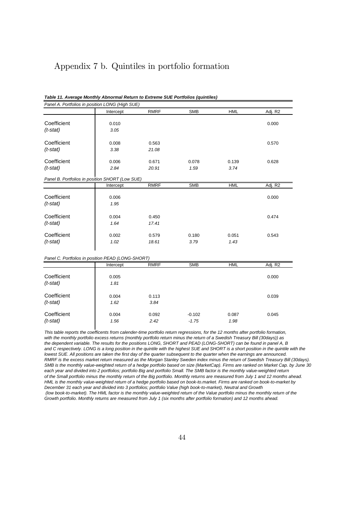### Appendix 7 b. Quintiles in portfolio formation

|  | Table 11. Average Monthly Abnormal Return to Extreme SUE Portfolios (quintiles) |
|--|---------------------------------------------------------------------------------|
|--|---------------------------------------------------------------------------------|

*Panel A. Portfolios in position LONG (High SUE)* Intercept RMRF SMB HML Adj. R2 Coefficient 0.010 0.010 0.000 0.000 0.000 0.000 0.000 0.000 0.000 0.000 0.000 0.000 0.000 0.000 0.000 0.000 0.000 0.000 0.000 0.000 0.000 0.000 0.000 0.000 0.000 0.000 0.000 0.000 0.000 0.000 0.000 0.000 0.000 0.000 0.000 *(t-stat) 3.05* **Coefficient 1** 0.008 0.563 0.570 *(t-stat) 3.38 21.08* Coefficient 0.006 0.671 0.078 0.139 0.628 *(t-stat) 2.84 20.91 1.59 3.74 Panel B. Portfolios in position SHORT (Low SUE)* Intercept RMRF SMB HML Adj. R2 **Coefficient** 0.006 0.000 *(t-stat) 1.95* Coefficient 1 0.004 0.450 0.474 *(t-stat) 1.64 17.41* Coefficient 0.002 0.579 0.180 0.051 0.543 *(t-stat) 1.02 18.61 3.79 1.43 Panel C. Portfolios in position PEAD (LONG-SHORT)* Intercept RMRF SMB HML Adj. R2 Coefficient 20.005 coefficient 0.000 *(t-stat) 1.81* Coefficient 1 0.004 0.113 0.039 *(t-stat) 1.62 3.84* Coefficient 0.004 0.092 -0.102 0.087 0.045 *(t-stat) 1.56 2.42 -1.75 1.98*

*This table reports the coefficents from calender-time portfolio return regressions, for the 12 months after portfolio formation, with the monthly portfolio excess returns (monthly portfolio return minus the return of a Swedish Treasury Bill (30days)) as the dependent variable. The results for the positions LONG, SHORT and PEAD (LONG-SHORT) can be found in panel A, B and C respectively. LONG is a long position in the quintile with the highest SUE and SHORT is a short position in the quintile with the lowest SUE. All positions are taken the first day of the quarter subsequent to the quarter when the earnings are announced. RMRF is the excess market return measured as the Morgan Stanley Sweden index minus the return of Swedish Treasury Bill (30days). SMB is the monthly value-weighted return of a hedge portfolio based on size (MarketCap). Firms are ranked on Market Cap. by June 30 each year and divided into 2 portfolios; portfolio Big and portfolio Small. The SMB factor is the monthly value-weighted return of the Small portfolio minus the monthly return of the Big portfolio. Monthly returns are measured from July 1 and 12 months ahead. HML is the monthly value-weighted return of a hedge portfolio based on book-to.market. Firms are ranked on book-to-market by December 31 each year and divided into 3 portfolios; portfolio Value (high book-to-market), Neutral and Growth (low book-to-market). The HML factor is the monthly value-weighted return of the Value portfolio minus the monthly return of the Growth portfolio. Monthly returns are measured from July 1 (six months after portfolio formation) and 12 months ahead.*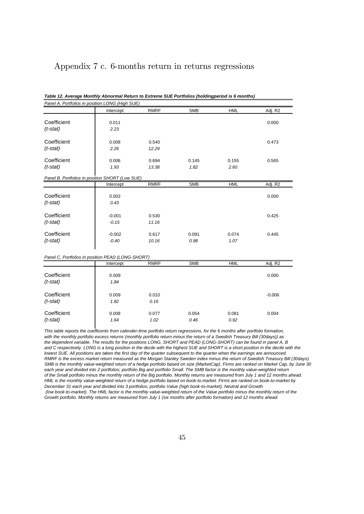### Appendix 7 c. 6-months return in returns regressions

| Panel A. Portfolios in position LONG (High SUE)   |           |             |            |            |          |
|---------------------------------------------------|-----------|-------------|------------|------------|----------|
|                                                   | Intercept | <b>RMRF</b> | <b>SMB</b> | <b>HML</b> | Adj. R2  |
| Coefficient                                       | 0.011     |             |            |            | 0.000    |
|                                                   |           |             |            |            |          |
| $(t$ -stat)                                       | 2.23      |             |            |            |          |
| Coefficient                                       | 0.008     | 0.540       |            |            | 0.473    |
| $(t$ -stat)                                       | 2.26      | 12.29       |            |            |          |
|                                                   |           |             |            |            |          |
| Coefficient                                       | 0.006     | 0.694       | 0.145      | 0.155      | 0.565    |
| $(t$ -stat)                                       | 1.93      | 13.38       | 1.82       | 2.60       |          |
| Panel B. Portfolios in position SHORT (Low SUE)   |           |             |            |            |          |
|                                                   | Intercept | <b>RMRF</b> | <b>SMB</b> | <b>HML</b> | Adj. R2  |
|                                                   |           |             |            |            |          |
| Coefficient                                       | 0.002     |             |            |            | 0.000    |
| $(t$ -stat)                                       | 0.43      |             |            |            |          |
|                                                   |           |             |            |            |          |
| Coefficient                                       | $-0.001$  | 0.530       |            |            | 0.425    |
| $(t$ -stat)                                       | $-0.15$   | 11.16       |            |            |          |
|                                                   |           |             |            |            |          |
| Coefficient                                       | $-0.002$  | 0.617       | 0.091      | 0.074      | 0.445    |
| $(t$ -stat)                                       | $-0.40$   | 10.16       | 0.98       | 1.07       |          |
|                                                   |           |             |            |            |          |
| Panel C. Portfolios in position PEAD (LONG-SHORT) |           |             |            |            |          |
|                                                   | Intercept | <b>RMRF</b> | <b>SMB</b> | <b>HML</b> | Adj. R2  |
|                                                   |           |             |            |            |          |
| Coefficient                                       | 0.009     |             |            |            | 0.000    |
| $(t$ -stat)                                       | 1.84      |             |            |            |          |
| Coefficient                                       | 0.009     | 0.010       |            |            | $-0.006$ |
| $(t$ -stat)                                       | 1.82      | 0.16        |            |            |          |
|                                                   |           |             |            |            |          |
| Coefficient                                       | 0.008     | 0.077       | 0.054      | 0.081      | 0.004    |
| $(t$ -stat)                                       | 1.64      | 1.02        | 0.46       | 0.92       |          |

*Table 12. Average Monthly Abnormal Return to Extreme SUE Portfolios (holdingperiod is 6 months)*

*This table reports the coefficents from calender-time portfolio return regressions, for the 6 months after portfolio formation, with the monthly portfolio excess returns (monthly portfolio return minus the return of a Swedish Treasury Bill (30days)) as the dependent variable. The results for the positions LONG, SHORT and PEAD (LONG-SHORT) can be found in panel A, B and C respectively. LONG is a long position in the decile with the highest SUE and SHORT is a short position in the decile with the lowest SUE. All positions are taken the first day of the quarter subsequent to the quarter when the earnings are announced. RMRF is the excess market return measured as the Morgan Stanley Sweden index minus the return of Swedish Treasury Bill (30days). SMB is the monthly value-weighted return of a hedge portfolio based on size (MarketCap). Firms are ranked on Market Cap. by June 30 each year and divided into 2 portfolios; portfolio Big and portfolio Small. The SMB factor is the monthly value-weighted return of the Small portfolio minus the monthly return of the Big portfolio. Monthly returns are measured from July 1 and 12 months ahead. HML is the monthly value-weighted return of a hedge portfolio based on book-to.market. Firms are ranked on book-to-market by December 31 each year and divided into 3 portfolios; portfolio Value (high book-to-market), Neutral and Growth (low book-to-market). The HML factor is the monthly value-weighted return of the Value portfolio minus the monthly return of the Growth portfolio. Monthly returns are measured from July 1 (six months after portfolio formation) and 12 months ahead.*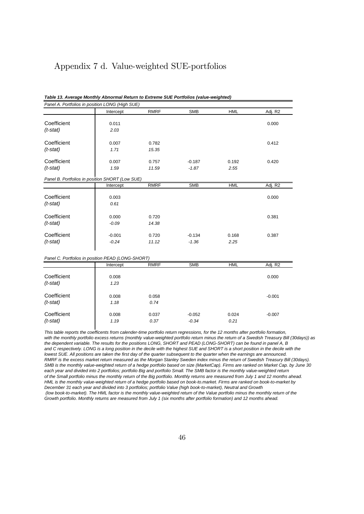### Appendix 7 d. Value-weighted SUE-portfolios

#### *Table 13. Average Monthly Abnormal Return to Extreme SUE Portfolios (value-weighted)*

*Panel A. Portfolios in position LONG (High SUE)*

|                                                   | Intercept | <b>RMRF</b> | <b>SMB</b> | <b>HML</b> | Adj. R2  |
|---------------------------------------------------|-----------|-------------|------------|------------|----------|
| Coefficient                                       | 0.011     |             |            |            | 0.000    |
| $(t$ -stat)                                       | 2.03      |             |            |            |          |
|                                                   |           |             |            |            |          |
| Coefficient                                       | 0.007     | 0.782       |            |            | 0.412    |
| $(t$ -stat)                                       | 1.71      | 15.35       |            |            |          |
|                                                   |           |             |            |            |          |
| Coefficient                                       | 0.007     | 0.757       | $-0.187$   | 0.192      | 0.420    |
| $(t$ -stat)                                       | 1.59      | 11.59       | $-1.87$    | 2.55       |          |
| Panel B. Portfolios in position SHORT (Low SUE)   |           |             |            |            |          |
|                                                   | Intercept | <b>RMRF</b> | <b>SMB</b> | <b>HML</b> | Adj. R2  |
|                                                   |           |             |            |            |          |
| Coefficient                                       | 0.003     |             |            |            | 0.000    |
| $(t$ -stat)                                       | 0.61      |             |            |            |          |
| Coefficient                                       | 0.000     | 0.720       |            |            | 0.381    |
|                                                   | $-0.09$   | 14.38       |            |            |          |
| $(t$ -stat)                                       |           |             |            |            |          |
| Coefficient                                       | $-0.001$  | 0.720       | $-0.134$   | 0.168      | 0.387    |
| $(t$ -stat)                                       | $-0.24$   | 11.12       | $-1.36$    | 2.25       |          |
|                                                   |           |             |            |            |          |
| Panel C. Portfolios in position PEAD (LONG-SHORT) |           |             |            |            |          |
|                                                   | Intercept | <b>RMRF</b> | <b>SMB</b> | <b>HML</b> | Adj. R2  |
|                                                   |           |             |            |            |          |
| Coefficient                                       | 0.008     |             |            |            | 0.000    |
| $(t$ -stat)                                       | 1.23      |             |            |            |          |
|                                                   |           |             |            |            |          |
| Coefficient                                       | 0.008     | 0.058       |            |            | $-0.001$ |
| $(t$ -stat)                                       | 1.18      | 0.74        |            |            |          |
| Coefficient                                       | 0.008     | 0.037       | $-0.052$   | 0.024      | $-0.007$ |
| $(t$ -stat)                                       | 1.19      | 0.37        | $-0.34$    | 0.21       |          |
|                                                   |           |             |            |            |          |

*This table reports the coefficents from calender-time portfolio return regressions, for the 12 months after portfolio formation, with the monthly portfolio excess returns (monthly value-weighted portfolio return minus the return of a Swedish Treasury Bill (30days)) as the dependent variable. The results for the positions LONG, SHORT and PEAD (LONG-SHORT) can be found in panel A, B and C respectively. LONG is a long position in the decile with the highest SUE and SHORT is a short position in the decile with the lowest SUE. All positions are taken the first day of the quarter subsequent to the quarter when the earnings are announced. RMRF is the excess market return measured as the Morgan Stanley Sweden index minus the return of Swedish Treasury Bill (30days). SMB is the monthly value-weighted return of a hedge portfolio based on size (MarketCap). Firms are ranked on Market Cap. by June 30 each year and divided into 2 portfolios; portfolio Big and portfolio Small. The SMB factor is the monthly value-weighted return of the Small portfolio minus the monthly return of the Big portfolio. Monthly returns are measured from July 1 and 12 months ahead. HML is the monthly value-weighted return of a hedge portfolio based on book-to.market. Firms are ranked on book-to-market by December 31 each year and divided into 3 portfolios; portfolio Value (high book-to-market), Neutral and Growth (low book-to-market). The HML factor is the monthly value-weighted return of the Value portfolio minus the monthly return of the Growth portfolio. Monthly returns are measured from July 1 (six months after portfolio formation) and 12 months ahead.*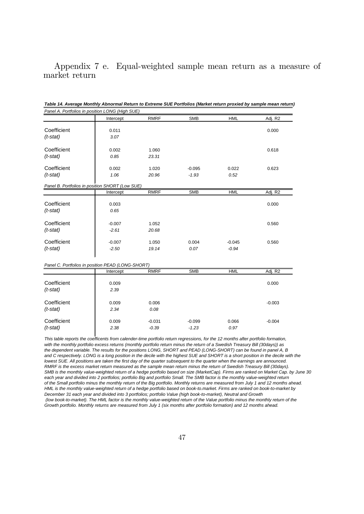Appendix 7 e. Equal-weighted sample mean return as a measure of market return

| Panel A. Portfolios in position LONG (High SUE)                                                                                 |           |             |            |            |          |
|---------------------------------------------------------------------------------------------------------------------------------|-----------|-------------|------------|------------|----------|
|                                                                                                                                 | Intercept | <b>RMRF</b> | <b>SMB</b> | <b>HML</b> | Adj. R2  |
|                                                                                                                                 |           |             |            |            |          |
| Coefficient                                                                                                                     | 0.011     |             |            |            | 0.000    |
| $(t$ -stat)                                                                                                                     | 3.07      |             |            |            |          |
|                                                                                                                                 |           |             |            |            |          |
| Coefficient                                                                                                                     | 0.002     | 1.060       |            |            | 0.618    |
| $(t$ -stat)                                                                                                                     | 0.85      | 23.31       |            |            |          |
|                                                                                                                                 |           |             |            |            |          |
| Coefficient                                                                                                                     | 0.002     | 1.020       | $-0.095$   | 0.022      | 0.623    |
| $(t$ -stat)                                                                                                                     | 1.06      | 20.96       | $-1.93$    | 0.52       |          |
|                                                                                                                                 |           |             |            |            |          |
| Panel B. Portfolios in position SHORT (Low SUE)                                                                                 |           |             |            |            |          |
|                                                                                                                                 | Intercept | <b>RMRF</b> | <b>SMB</b> | <b>HML</b> | Adj. R2  |
| Coefficient                                                                                                                     |           |             |            |            |          |
|                                                                                                                                 | 0.003     |             |            |            | 0.000    |
| $(t$ -stat)                                                                                                                     | 0.65      |             |            |            |          |
|                                                                                                                                 |           |             |            |            |          |
| Coefficient                                                                                                                     | $-0.007$  | 1.052       |            |            | 0.560    |
| $(t$ -stat)                                                                                                                     | $-2.61$   | 20.68       |            |            |          |
|                                                                                                                                 |           |             |            |            |          |
| Coefficient                                                                                                                     | $-0.007$  | 1.050       | 0.004      | $-0.045$   | 0.560    |
| $(t$ -stat)                                                                                                                     | $-2.50$   | 19.14       | 0.07       | $-0.94$    |          |
|                                                                                                                                 |           |             |            |            |          |
| Panel C. Portfolios in position PEAD (LONG-SHORT)                                                                               |           |             |            |            |          |
|                                                                                                                                 | Intercept | <b>RMRF</b> | <b>SMB</b> | <b>HML</b> | Adj. R2  |
|                                                                                                                                 |           |             |            |            |          |
| Coefficient                                                                                                                     | 0.009     |             |            |            | 0.000    |
| $(t$ -stat)                                                                                                                     | 2.39      |             |            |            |          |
|                                                                                                                                 |           |             |            |            |          |
| Coefficient                                                                                                                     | 0.009     | 0.006       |            |            | $-0.003$ |
| $(t$ -stat)                                                                                                                     | 2.34      | 0.08        |            |            |          |
|                                                                                                                                 |           |             |            |            |          |
| Coefficient                                                                                                                     | 0.009     | $-0.031$    | $-0.099$   | 0.066      | $-0.004$ |
| $(t$ -stat)                                                                                                                     | 2.38      | $-0.39$     | $-1.23$    | 0.97       |          |
|                                                                                                                                 |           |             |            |            |          |
| This table reports the coefficents from calender time pertfolio return regressions, for the 12 menths after pertfolio fermation |           |             |            |            |          |

*Table 14. Average Monthly Abnormal Return to Extreme SUE Portfolios (Market return proxied by sample mean return)*

*This table reports the coefficents from calender-time portfolio return regressions, for the 12 months after portfolio formation, with the monthly portfolio excess returns (monthly portfolio return minus the return of a Swedish Treasury Bill (30days)) as the dependent variable. The results for the positions LONG, SHORT and PEAD (LONG-SHORT) can be found in panel A, B and C respectively. LONG is a long position in the decile with the highest SUE and SHORT is a short position in the decile with the lowest SUE. All positions are taken the first day of the quarter subsequent to the quarter when the earnings are announced. RMRF is the excess market return measured as the sample mean return minus the return of Swedish Treasury Bill (30days). SMB is the monthly value-weighted return of a hedge portfolio based on size (MarketCap). Firms are ranked on Market Cap. by June 30 each year and divided into 2 portfolios; portfolio Big and portfolio Small. The SMB factor is the monthly value-weighted return of the Small portfolio minus the monthly return of the Big portfolio. Monthly returns are measured from July 1 and 12 months ahead. HML is the monthly value-weighted return of a hedge portfolio based on book-to.market. Firms are ranked on book-to-market by December 31 each year and divided into 3 portfolios; portfolio Value (high book-to-market), Neutral and Growth (low book-to-market). The HML factor is the monthly value-weighted return of the Value portfolio minus the monthly return of the Growth portfolio. Monthly returns are measured from July 1 (six months after portfolio formation) and 12 months ahead.*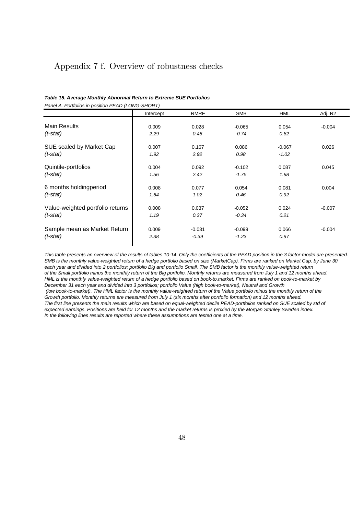### Appendix 7 f. Overview of robustness checks

| Panel A. Portfolios in position PEAD (LONG-SHORT) |           |             |            |            |          |
|---------------------------------------------------|-----------|-------------|------------|------------|----------|
|                                                   | Intercept | <b>RMRF</b> | <b>SMB</b> | <b>HML</b> | Adj. R2  |
| Main Results                                      | 0.009     | 0.028       | $-0.065$   | 0.054      | $-0.004$ |
| $(t$ -stat)                                       | 2.29      | 0.48        | $-0.74$    | 0.82       |          |
| SUE scaled by Market Cap                          | 0.007     | 0.167       | 0.086      | $-0.067$   | 0.026    |
| $(t$ -stat)                                       | 1.92      | 2.92        | 0.98       | $-1.02$    |          |
| Quintile-portfolios                               | 0.004     | 0.092       | $-0.102$   | 0.087      | 0.045    |
| $(t$ -stat)                                       | 1.56      | 2.42        | $-1.75$    | 1.98       |          |
| 6 months holdingperiod                            | 0.008     | 0.077       | 0.054      | 0.081      | 0.004    |
| $(t$ -stat)                                       | 1.64      | 1.02        | 0.46       | 0.92       |          |
| Value-weighted portfolio returns                  | 0.008     | 0.037       | $-0.052$   | 0.024      | $-0.007$ |
| $(t$ -stat)                                       | 1.19      | 0.37        | $-0.34$    | 0.21       |          |
| Sample mean as Market Return                      | 0.009     | $-0.031$    | $-0.099$   | 0.066      | $-0.004$ |
| $(t$ -stat)                                       | 2.38      | $-0.39$     | $-1.23$    | 0.97       |          |

|  | Table 15. Average Monthly Abnormal Return to Extreme SUE Portfolios |
|--|---------------------------------------------------------------------|
|--|---------------------------------------------------------------------|

*This table presents an overview of the results of tables 10-14. Only the coefficients of the PEAD position in the 3 factor-model are presented. SMB is the monthly value-weighted return of a hedge portfolio based on size (MarketCap). Firms are ranked on Market Cap. by June 30 each year and divided into 2 portfolios; portfolio Big and portfolio Small. The SMB factor is the monthly value-weighted return of the Small portfolio minus the monthly return of the Big portfolio. Monthly returns are measured from July 1 and 12 months ahead. HML is the monthly value-weighted return of a hedge portfolio based on book-to.market. Firms are ranked on book-to-market by December 31 each year and divided into 3 portfolios; portfolio Value (high book-to-market), Neutral and Growth (low book-to-market). The HML factor is the monthly value-weighted return of the Value portfolio minus the monthly return of the Growth portfolio. Monthly returns are measured from July 1 (six months after portfolio formation) and 12 months ahead. The first line presents the main results which are based on equal-weighted decile PEAD-portfolios ranked on SUE scaled by std of expected earnings. Positions are held for 12 months and the market returns is proxied by the Morgan Stanley Sweden index. In the following lines results are reported where these assumptions are tested one at a time.*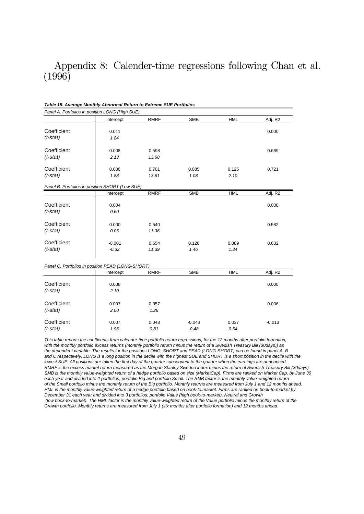## Appendix 8: Calender-time regressions following Chan et al. (1996)

| Panel A. Portfolios in position LONG (High SUE)   |           |             |            |            |          |
|---------------------------------------------------|-----------|-------------|------------|------------|----------|
|                                                   | Intercept | <b>RMRF</b> | <b>SMB</b> | <b>HML</b> | Adj. R2  |
| Coefficient                                       | 0.011     |             |            |            | 0.000    |
| $(t$ -stat)                                       | 1.84      |             |            |            |          |
|                                                   |           |             |            |            |          |
| Coefficient                                       | 0.008     | 0.598       |            |            | 0.669    |
| $(t$ -stat)                                       | 2.13      | 13.68       |            |            |          |
| Coefficient                                       | 0.006     | 0.701       | 0.085      | 0.125      | 0.721    |
| $(t$ -stat)                                       | 1.88      | 13.61       | 1.08       | 2.10       |          |
| Panel B. Portfolios in position SHORT (Low SUE)   |           |             |            |            |          |
|                                                   | Intercept | <b>RMRF</b> | <b>SMB</b> | <b>HML</b> | Adj. R2  |
|                                                   |           |             |            |            |          |
| Coefficient                                       | 0.004     |             |            |            | 0.000    |
| $(t$ -stat)                                       | 0.60      |             |            |            |          |
| Coefficient                                       | 0.000     | 0.540       |            |            | 0.582    |
| $(t$ -stat)                                       | 0.05      | 11.36       |            |            |          |
| Coefficient                                       |           |             |            |            |          |
|                                                   | $-0.001$  | 0.654       | 0.128      | 0.089      | 0.632    |
| $(t$ -stat)                                       | $-0.32$   | 11.39       | 1.46       | 1.34       |          |
|                                                   |           |             |            |            |          |
| Panel C. Portfolios in position PEAD (LONG-SHORT) | Intercept | <b>RMRF</b> | <b>SMB</b> | <b>HML</b> | Adj. R2  |
|                                                   |           |             |            |            |          |
| Coefficient                                       | 0.008     |             |            |            | 0.000    |
| $(t$ -stat)                                       | 2.10      |             |            |            |          |
| Coefficient                                       |           |             |            |            |          |
|                                                   | 0.007     | 0.057       |            |            | 0.006    |
| $(t$ -stat)                                       | 2.00      | 1.26        |            |            |          |
| Coefficient                                       | 0.007     | 0.048       | $-0.043$   | 0.037      | $-0.013$ |
| $(t$ -stat)                                       | 1.96      | 0.81        | $-0.48$    | 0.54       |          |

*Table 15. Average Monthly Abnormal Return to Extreme SUE Portfolios*

*This table reports the coefficents from calender-time portfolio return regressions, for the 12 months after portfolio formation, with the monthly portfolio excess returns (monthly portfolio return minus the return of a Swedish Treasury Bill (30days)) as the dependent variable. The results for the positions LONG, SHORT and PEAD (LONG-SHORT) can be found in panel A, B and C respectively. LONG is a long position in the decile with the highest SUE and SHORT is a short position in the decile with the lowest SUE. All positions are taken the first day of the quarter subsequent to the quarter when the earnings are announced. RMRF is the excess market return measured as the Morgan Stanley Sweden index minus the return of Swedish Treasury Bill (30days). SMB is the monthly value-weighted return of a hedge portfolio based on size (MarketCap). Firms are ranked on Market Cap. by June 30 each year and divided into 2 portfolios; portfolio Big and portfolio Small. The SMB factor is the monthly value-weighted return of the Small portfolio minus the monthly return of the Big portfolio. Monthly returns are measured from July 1 and 12 months ahead. HML is the monthly value-weighted return of a hedge portfolio based on book-to.market. Firms are ranked on book-to-market by December 31 each year and divided into 3 portfolios; portfolio Value (high book-to-market), Neutral and Growth (low book-to-market). The HML factor is the monthly value-weighted return of the Value portfolio minus the monthly return of the Growth portfolio. Monthly returns are measured from July 1 (six months after portfolio formation) and 12 months ahead.*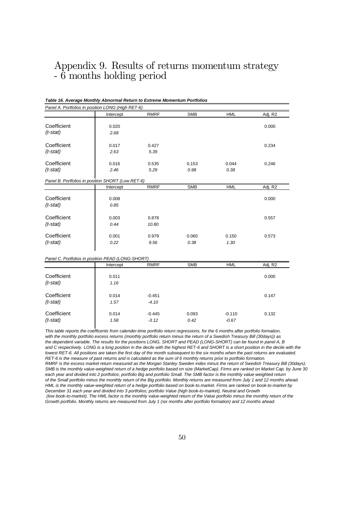## Appendix 9. Results of returns momentum strategy - 6 months holding period

#### *Table 16. Average Monthly Abnormal Return to Extreme Momentum Portfolios*

|             | Panel A. Portfolios in position LONG (High RET-6) |             |            |            |         |
|-------------|---------------------------------------------------|-------------|------------|------------|---------|
|             | Intercept                                         | <b>RMRF</b> | <b>SMB</b> | <b>HML</b> | Adj. R2 |
| Coefficient | 0.020                                             |             |            |            | 0.000   |
| $(t$ -stat) | 2.68                                              |             |            |            |         |
|             |                                                   |             |            |            |         |
| Coefficient | 0.017                                             | 0.427       |            |            | 0.234   |
| $(t$ -stat) | 2.63                                              | 5.39        |            |            |         |
|             |                                                   |             |            |            |         |
| Coefficient | 0.016                                             | 0.535       | 0.153      | 0.044      | 0.246   |
| $(t$ -stat) | 2.46                                              | 5.29        | 0.98       | 0.38       |         |
|             | Panel B. Portfolios in position SHORT (Low RET-6) |             |            |            |         |
|             | Intercept                                         | <b>RMRF</b> | <b>SMB</b> | <b>HML</b> | Adj. R2 |
|             |                                                   |             |            |            |         |
| Coefficient | 0.008                                             |             |            |            | 0.000   |
| $(t$ -stat) | 0.85                                              |             |            |            |         |
| Coefficient | 0.003                                             | 0.878       |            |            | 0.557   |
|             |                                                   |             |            |            |         |
| $(t$ -stat) | 0.44                                              | 10.80       |            |            |         |
| Coefficient | 0.001                                             | 0.979       | 0.060      | 0.150      | 0.573   |
| $(t$ -stat) | 0.22                                              | 9.56        | 0.38       | 1.30       |         |
|             |                                                   |             |            |            |         |
|             | Panel C. Portfolios in position PEAD (LONG-SHORT) |             |            |            |         |
|             | Intercept                                         | <b>RMRF</b> | <b>SMB</b> | <b>HML</b> | Adj. R2 |
|             |                                                   |             |            |            |         |
| Coefficient | 0.011                                             |             |            |            | 0.000   |
| $(t$ -stat) | 1.16                                              |             |            |            |         |
| Coefficient |                                                   |             |            |            |         |
|             | 0.014                                             | $-0.451$    |            |            | 0.147   |
| $(t$ -stat) | 1.57                                              | $-4.10$     |            |            |         |
| Coefficient | 0.014                                             | $-0.445$    | 0.093      | $-0.110$   | 0.132   |
| $(t$ -stat) | 1.58                                              | $-3.12$     | 0.42       | $-0.67$    |         |

*This table reports the coefficents from calender-time portfolio return regressions, for the 6 months after portfolio formation, with the monthly portfolio excess returns (monthly portfolio return minus the return of a Swedish Treasury Bill (30days)) as the dependent variable. The results for the positions LONG, SHORT and PEAD (LONG-SHORT) can be found in panel A, B and C respectively. LONG is a long position in the decile with the highest RET-6 and SHORT is a short position in the decile with the lowest RET-6. All positions are taken the first day of the month subsequent to the six months when the past returns are evaluated. RET-6 is the measure of past returns and is calculated as the sum of 6 monthly returns prior to portfolio formation. RMRF is the excess market return measured as the Morgan Stanley Sweden index minus the return of Swedish Treasury Bill (30days). SMB is the monthly value-weighted return of a hedge portfolio based on size (MarketCap). Firms are ranked on Market Cap. by June 30 each year and divided into 2 portfolios; portfolio Big and portfolio Small. The SMB factor is the monthly value-weighted return of the Small portfolio minus the monthly return of the Big portfolio. Monthly returns are measured from July 1 and 12 months ahead. HML is the monthly value-weighted return of a hedge portfolio based on book-to.market. Firms are ranked on book-to-market by December 31 each year and divided into 3 portfolios; portfolio Value (high book-to-market), Neutral and Growth (low book-to-market). The HML factor is the monthly value-weighted return of the Value portfolio minus the monthly return of the Growth portfolio. Monthly returns are measured from July 1 (six months after portfolio formation) and 12 months ahead.*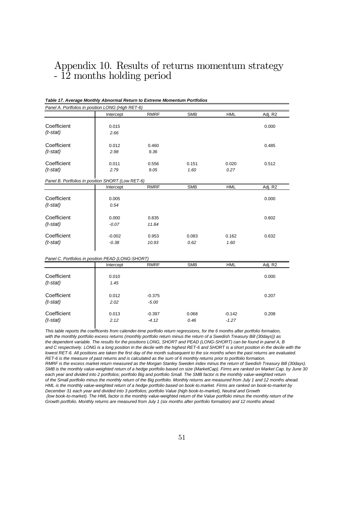# Appendix 10. Results of returns momentum strategy - 12 months holding period

### *Table 17. Average Monthly Abnormal Return to Extreme Momentum Portfolios Panel A. Portfolios in position LONG (High RET-6)* Intercept RMRF SMB HML Adj. R2 **Coefficient** 0.015 0.015 0.000 *(t-stat) 2.66* **Coefficient 1** 0.012 0.460 0.485 *(t-stat) 2.98 9.36* **Coefficient | 0.011 0.556 0.151 0.020 0.512** *(t-stat) 2.79 9.05 1.60 0.27 Panel B. Portfolios in position SHORT (Low RET-6)* Intercept RMRF SMB HML Adj. R2 **Coefficient** 0.005 0.000 *(t-stat) 0.54* **Coefficient** 0.000 0.835 0.602 *(t-stat) -0.07 11.84* Coefficient | -0.002 0.953 0.083 0.162 0.632 *(t-stat) -0.38 10.93 0.62 1.60 Panel C. Portfolios in position PEAD (LONG-SHORT)* Intercept RMRF SMB HML Adj. R2 **Coefficient 1** 0.010 0.000 *(t-stat) 1.45* **Coefficient 1** 0.012 -0.375 0.207 *(t-stat) 2.02 -5.00* Coefficient 0.013 -0.397 0.068 -0.142 0.208 *(t-stat) 2.12 -4.12 0.46 -1.27*

*This table reports the coefficents from calender-time portfolio return regressions, for the 6 months after portfolio formation, with the monthly portfolio excess returns (monthly portfolio return minus the return of a Swedish Treasury Bill (30days)) as the dependent variable. The results for the positions LONG, SHORT and PEAD (LONG-SHORT) can be found in panel A, B and C respectively. LONG is a long position in the decile with the highest RET-6 and SHORT is a short position in the decile with the lowest RET-6. All positions are taken the first day of the month subsequent to the six months when the past returns are evaluated. RET-6 is the measure of past returns and is calculated as the sum of 6 monthly returns prior to portfolio formation. RMRF is the excess market return measured as the Morgan Stanley Sweden index minus the return of Swedish Treasury Bill (30days). SMB is the monthly value-weighted return of a hedge portfolio based on size (MarketCap). Firms are ranked on Market Cap. by June 30 each year and divided into 2 portfolios; portfolio Big and portfolio Small. The SMB factor is the monthly value-weighted return of the Small portfolio minus the monthly return of the Big portfolio. Monthly returns are measured from July 1 and 12 months ahead. HML is the monthly value-weighted return of a hedge portfolio based on book-to.market. Firms are ranked on book-to-market by December 31 each year and divided into 3 portfolios; portfolio Value (high book-to-market), Neutral and Growth (low book-to-market). The HML factor is the monthly value-weighted return of the Value portfolio minus the monthly return of the Growth portfolio. Monthly returns are measured from July 1 (six months after portfolio formation) and 12 months ahead.*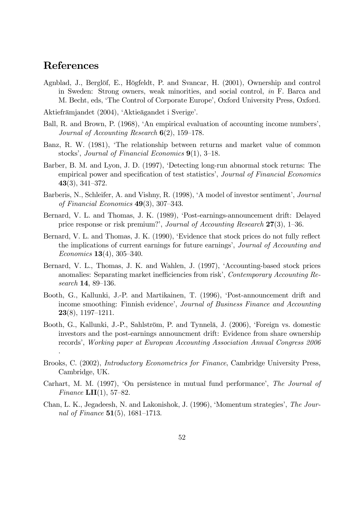# References

.

- Agnblad, J., Berglöf, E., Högfeldt, P. and Svancar, H. (2001), Ownership and control in Sweden: Strong owners, weak minorities, and social control, in F. Barca and M. Becht, eds, 'The Control of Corporate Europe', Oxford University Press, Oxford.
- Aktiefrämjandet (2004), 'Aktieägandet i Sverige'.
- Ball, R. and Brown, P. (1968), 'An empirical evaluation of accounting income numbers', Journal of Accounting Research  $6(2)$ , 159–178.
- Banz, R. W. (1981), 'The relationship between returns and market value of common stocks', Journal of Financial Economics  $9(1)$ , 3–18.
- Barber, B. M. and Lyon, J. D. (1997), ëDetecting long-run abnormal stock returns: The empirical power and specification of test statistics', Journal of Financial Economics  $43(3), 341-372.$
- Barberis, N., Schleifer, A. and Vishny, R. (1998), 'A model of investor sentiment', Journal of Financial Economics  $49(3)$ , 307–343.
- Bernard, V. L. and Thomas, J. K. (1989), 'Post-earnings-announcement drift: Delayed price response or risk premium?', Journal of Accounting Research  $27(3)$ , 1–36.
- Bernard, V. L. and Thomas, J. K. (1990), 'Evidence that stock prices do not fully reflect the implications of current earnings for future earnings', Journal of Accounting and Economics  $13(4)$ ,  $305-340$ .
- Bernard, V. L., Thomas, J. K. and Wahlen, J. (1997), 'Accounting-based stock prices anomalies: Separating market inefficiencies from risk', Contemporary Accounting Research 14, 89-136.
- Booth, G., Kallunki, J.-P. and Martikainen, T. (1996), ëPost-announcement drift and income smoothing: Finnish evidence', Journal of Business Finance and Accounting  $23(8)$ , 1197-1211.
- Booth, G., Kallunki, J.-P., Sahlström, P. and Tynnelä, J. (2006), 'Foreign vs. domestic investors and the post-earnings announcment drift: Evidence from share ownership records', Working paper at European Accounting Association Annual Congress 2006
- Brooks, C. (2002), Introductory Econometrics for Finance, Cambridge University Press, Cambridge, UK.
- Carhart, M. M. (1997), 'On persistence in mutual fund performance', The Journal of Finance  $LII(1)$ , 57–82.
- Chan, L. K., Jegadeesh, N. and Lakonishok, J. (1996), 'Momentum strategies', The Journal of Finance  $51(5)$ , 1681–1713.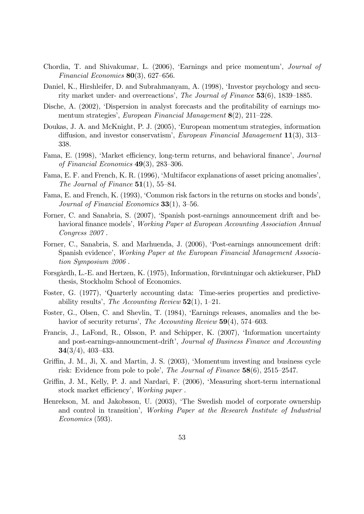- Chordia, T. and Shivakumar, L. (2006), 'Earnings and price momentum', *Journal of* Financial Economics  $80(3)$ , 627–656.
- Daniel, K., Hirshleifer, D. and Subrahmanyam, A. (1998), 'Investor psychology and security market under- and overreactions', The Journal of Finance  $53(6)$ , 1839–1885.
- Dische, A. (2002), 'Dispersion in analyst forecasts and the profitability of earnings momentum strategies', European Financial Management  $8(2)$ , 211–228.
- Doukas, J. A. and McKnight, P. J. (2005), ëEuropean momentum strategies, information diffusion, and investor conservatism', European Financial Management  $11(3)$ , 313– 338.
- Fama, E. (1998), 'Market efficiency, long-term returns, and behavioral finance', *Journal* of Financial Economics  $49(3)$ , 283–306.
- Fama, E. F. and French, K. R. (1996), 'Multifacor explanations of asset pricing anomalies', The Journal of Finance  $51(1)$ , 55-84.
- Fama, E. and French, K. (1993), 'Common risk factors in the returns on stocks and bonds', Journal of Financial Economics  $33(1)$ ,  $3-56$ .
- Forner, C. and Sanabria, S. (2007), 'Spanish post-earnings announcement drift and behavioral finance models', *Working Paper at European Accounting Association Annual* Congress 2007 .
- Forner, C., Sanabria, S. and Marhuenda, J. (2006), ëPost-earnings announcement drift: Spanish evidenceí, Working Paper at the European Financial Management Association Symposium 2006 .
- Forsgårdh, L.-E. and Hertzen, K. (1975), Information, förväntningar och aktiekurser, PhD thesis, Stockholm School of Economics.
- Foster, G. (1977), ëQuarterly accounting data: Time-series properties and predictiveability results', The Accounting Review  $52(1)$ , 1–21.
- Foster, G., Olsen, C. and Shevlin, T. (1984), ëEarnings releases, anomalies and the behavior of security returns', The Accounting Review  $59(4)$ , 574–603.
- Francis, J., LaFond, R., Olsson, P. and Schipper, K. (2007), 'Information uncertainty and post-earnings-announcment-drift', Journal of Business Finance and Accounting  $34(3/4), 403-433.$
- Griffin, J. M., Ji, X. and Martin, J. S. (2003), 'Momentum investing and business cycle risk: Evidence from pole to pole', The Journal of Finance  $58(6)$ ,  $2515-2547$ .
- Griffin, J. M., Kelly, P. J. and Nardari, F. (2006), 'Measuring short-term international stock market efficiency', Working paper.
- Henrekson, M. and Jakobsson, U. (2003), 'The Swedish model of corporate ownership and control in transition', Working Paper at the Research Institute of Industrial Economics (593).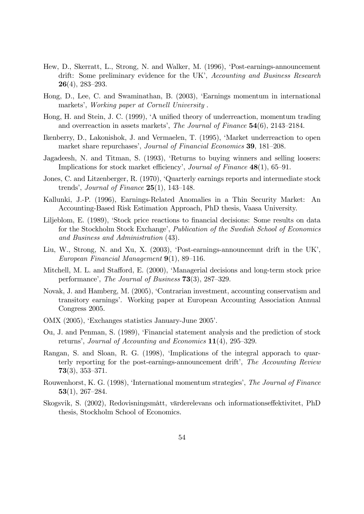- Hew, D., Skerratt, L., Strong, N. and Walker, M. (1996), ëPost-earnings-announcement drift: Some preliminary evidence for the UK', Accounting and Business Research  $26(4)$ , 283–293.
- Hong, D., Lee, C. and Swaminathan, B. (2003), ëEarnings momentum in international markets', Working paper at Cornell University.
- Hong, H. and Stein, J. C. (1999), 'A unified theory of underreaction, momentum trading and overreaction in assets markets', The Journal of Finance  $54(6)$ ,  $2143-2184$ .
- Ikenberry, D., Lakonishok, J. and Vermaelen, T. (1995), ëMarket underreaction to open market share repurchases', Journal of Financial Economics 39, 181–208.
- Jagadeesh, N. and Titman, S. (1993), ëReturns to buying winners and selling loosers: Implications for stock market efficiency', Journal of Finance  $48(1)$ , 65–91.
- Jones, C. and Litzenberger, R. (1970), ëQuarterly earnings reports and intermediate stock trends', Journal of Finance  $25(1)$ , 143–148.
- Kallunki, J.-P. (1996), Earnings-Related Anomalies in a Thin Security Market: An Accounting-Based Risk Estimation Approach, PhD thesis, Vaasa University.
- Liljeblom, E. (1989), 'Stock price reactions to financial decisions: Some results on data for the Stockholm Stock Exchange', Publication of the Swedish School of Economics and Business and Administration (43).
- Liu, W., Strong, N. and Xu, X. (2003), 'Post-earnings-announcemnt drift in the UK', European Financial Management  $9(1)$ , 89–116.
- Mitchell, M. L. and Stafford, E. (2000), 'Managerial decisions and long-term stock price performance', The Journal of Business  $73(3)$ ,  $287-329$ .
- Novak, J. and Hamberg, M. (2005), ëContrarian investment, accounting conservatism and transitory earningsí. Working paper at European Accounting Association Annual Congress 2005.
- OMX (2005), ëExchanges statistics January-June 2005í.
- Ou, J. and Penman, S. (1989), ëFinancial statement analysis and the prediction of stock returns', Journal of Accounting and Economics  $11(4)$ , 295–329.
- Rangan, S. and Sloan, R. G. (1998), 'Implications of the integral apporach to quarterly reporting for the post-earnings-announcement drift', The Accounting Review  $73(3)$ , 353-371.
- Rouwenhorst, K. G. (1998), 'International momentum strategies', The Journal of Finance  $53(1)$ , 267–284.
- Skogsvik, S. (2002), Redovisningsmått, värderelevans och informationseffektivitet, PhD thesis, Stockholm School of Economics.